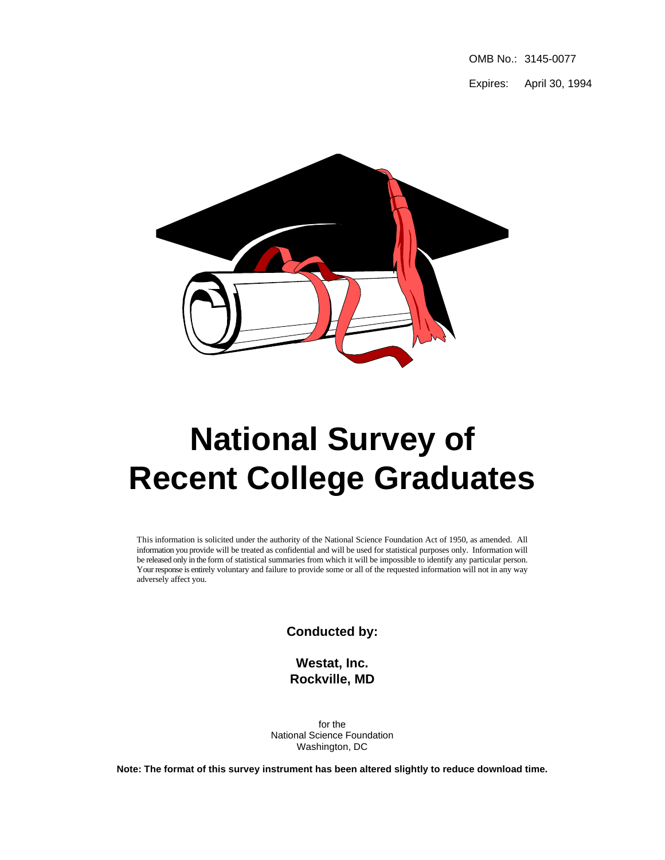OMB No.: 3145-0077

Expires: April 30, 1994



# **National Survey of Recent College Graduates**

This information is solicited under the authority of the National Science Foundation Act of 1950, as amended. All information you provide will be treated as confidential and will be used for statistical purposes only. Information will be released only in the form of statistical summaries from which it will be impossible to identify any particular person. Your response is entirely voluntary and failure to provide some or all of the requested information will not in any way adversely affect you.

**Conducted by:**

**Westat, Inc. Rockville, MD**

for the National Science Foundation Washington, DC

**Note: The format of this survey instrument has been altered slightly to reduce download time.**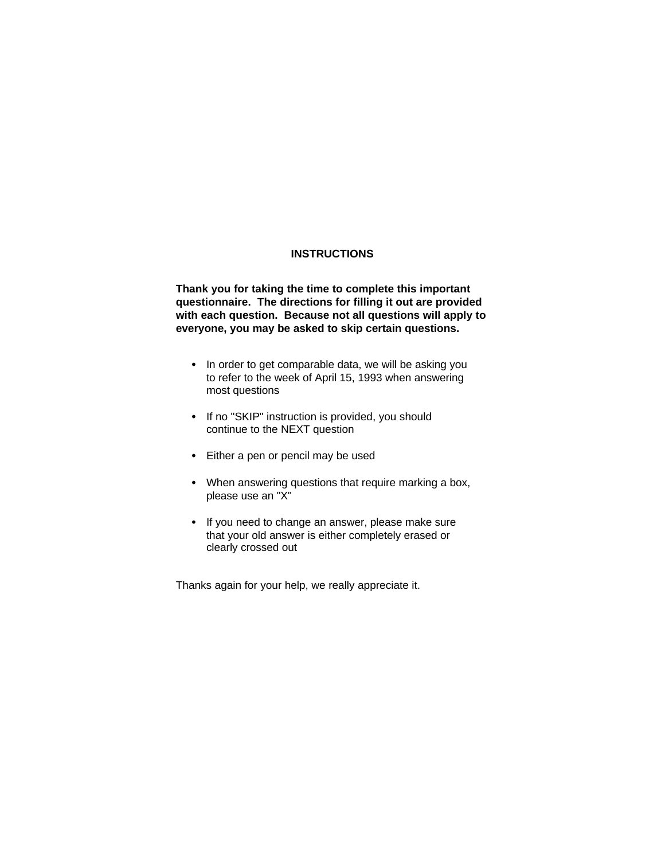### **INSTRUCTIONS**

**Thank you for taking the time to complete this important questionnaire. The directions for filling it out are provided with each question. Because not all questions will apply to everyone, you may be asked to skip certain questions.**

- In order to get comparable data, we will be asking you to refer to the week of April 15, 1993 when answering most questions
- If no "SKIP" instruction is provided, you should continue to the NEXT question
- $\bullet$  Either a pen or pencil may be used
- When answering questions that require marking a box, please use an "X"
- If you need to change an answer, please make sure that your old answer is either completely erased or clearly crossed out

Thanks again for your help, we really appreciate it.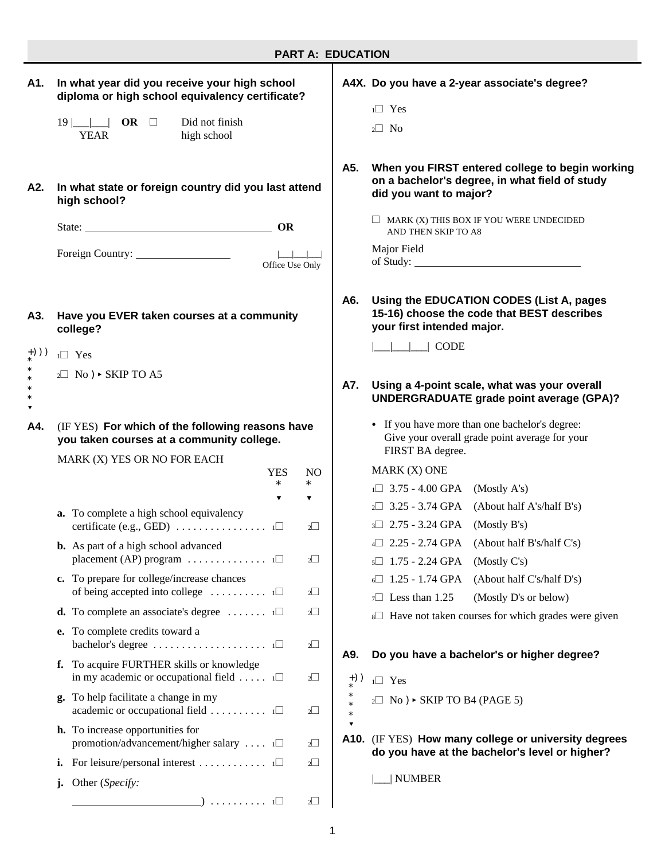|             | <b>PART A: EDUCATION</b>                                                                                    |     |                                                                                                                             |  |  |  |  |
|-------------|-------------------------------------------------------------------------------------------------------------|-----|-----------------------------------------------------------------------------------------------------------------------------|--|--|--|--|
| A1.         | In what year did you receive your high school<br>diploma or high school equivalency certificate?            |     | A4X. Do you have a 2-year associate's degree?<br>$1 \square$ Yes                                                            |  |  |  |  |
|             | $19$ $\Box$ OR $\Box$<br>Did not finish<br><b>YEAR</b><br>high school                                       |     | $2 \square$ No                                                                                                              |  |  |  |  |
| A2.         | In what state or foreign country did you last attend<br>high school?                                        | A5. | When you FIRST entered college to begin working<br>on a bachelor's degree, in what field of study<br>did you want to major? |  |  |  |  |
|             | OR                                                                                                          |     | $\Box$ MARK (X) THIS BOX IF YOU WERE UNDECIDED<br>AND THEN SKIP TO A8                                                       |  |  |  |  |
|             | Office Use Only                                                                                             |     | Major Field                                                                                                                 |  |  |  |  |
| A3.         | Have you EVER taken courses at a community<br>college?                                                      | A6. | Using the EDUCATION CODES (List A, pages<br>15-16) choose the code that BEST describes<br>your first intended major.        |  |  |  |  |
| +)))        | $1 \square$ Yes                                                                                             |     | CODE                                                                                                                        |  |  |  |  |
| $\ast$<br>▼ | $2 \square$ No ) $\triangleright$ SKIP TO A5                                                                | A7. | Using a 4-point scale, what was your overall<br><b>UNDERGRADUATE grade point average (GPA)?</b>                             |  |  |  |  |
| A4.         | (IF YES) For which of the following reasons have<br>you taken courses at a community college.               |     | • If you have more than one bachelor's degree:<br>Give your overall grade point average for your<br>FIRST BA degree.        |  |  |  |  |
|             | MARK (X) YES OR NO FOR EACH<br><b>YES</b><br>N <sub>O</sub>                                                 |     | MARK (X) ONE                                                                                                                |  |  |  |  |
|             | $\ast$<br>$\ast$                                                                                            |     | $1 \square$ 3.75 - 4.00 GPA (Mostly A's)                                                                                    |  |  |  |  |
|             | ▼<br>▼<br>a. To complete a high school equivalency                                                          |     | $2 \square$ 3.25 - 3.74 GPA (About half A's/half B's)                                                                       |  |  |  |  |
|             | $2\Box$                                                                                                     |     | $3\Box$ 2.75 - 3.24 GPA (Mostly B's)                                                                                        |  |  |  |  |
|             | <b>b.</b> As part of a high school advanced                                                                 |     | $4\Box$ 2.25 - 2.74 GPA<br>(About half B's/half C's)                                                                        |  |  |  |  |
|             | placement (AP) program $\dots \dots \dots \dots \dots$<br>$2\Box$                                           |     | $5 \square$ 1.75 - 2.24 GPA<br>(Mostly C's)                                                                                 |  |  |  |  |
|             | c. To prepare for college/increase chances                                                                  |     | 1.25 - 1.74 GPA<br>(About half C's/half D's)                                                                                |  |  |  |  |
|             | of being accepted into college $\dots \dots \dots \dots$<br>$2\Box$                                         |     | $\tau$ Less than 1.25<br>(Mostly D's or below)                                                                              |  |  |  |  |
|             | <b>d.</b> To complete an associate's degree $\dots \dots \dots \dots \dots$<br>$2\Box$                      |     | 8□ Have not taken courses for which grades were given                                                                       |  |  |  |  |
|             | e. To complete credits toward a<br>bachelor's degree $\dots \dots \dots \dots \dots \dots \dots$<br>$2\Box$ |     |                                                                                                                             |  |  |  |  |
|             | f. To acquire FURTHER skills or knowledge                                                                   | A9. | Do you have a bachelor's or higher degree?                                                                                  |  |  |  |  |
|             | in my academic or occupational field $\ldots$ i<br>$2\Box$                                                  | +)) | $1 \square$ Yes                                                                                                             |  |  |  |  |
|             | g. To help facilitate a change in my<br>academic or occupational field $\dots \dots \dots \dots$<br>$2\Box$ |     | $2 \square$ No ) $\triangleright$ SKIP TO B4 (PAGE 5)                                                                       |  |  |  |  |
|             | <b>h.</b> To increase opportunities for<br>promotion/advancement/higher salary i□<br>$2\Box$                |     | A10. (IF YES) How many college or university degrees<br>do you have at the bachelor's level or higher?                      |  |  |  |  |
|             | <b>i.</b> For leisure/personal interest $\Box$<br>$2\Box$                                                   |     |                                                                                                                             |  |  |  |  |
|             | Other (Specify:<br>j.                                                                                       |     | <b>NUMBER</b>                                                                                                               |  |  |  |  |
|             | $\Box$ 1 $\Box$<br>$2\Box$                                                                                  |     |                                                                                                                             |  |  |  |  |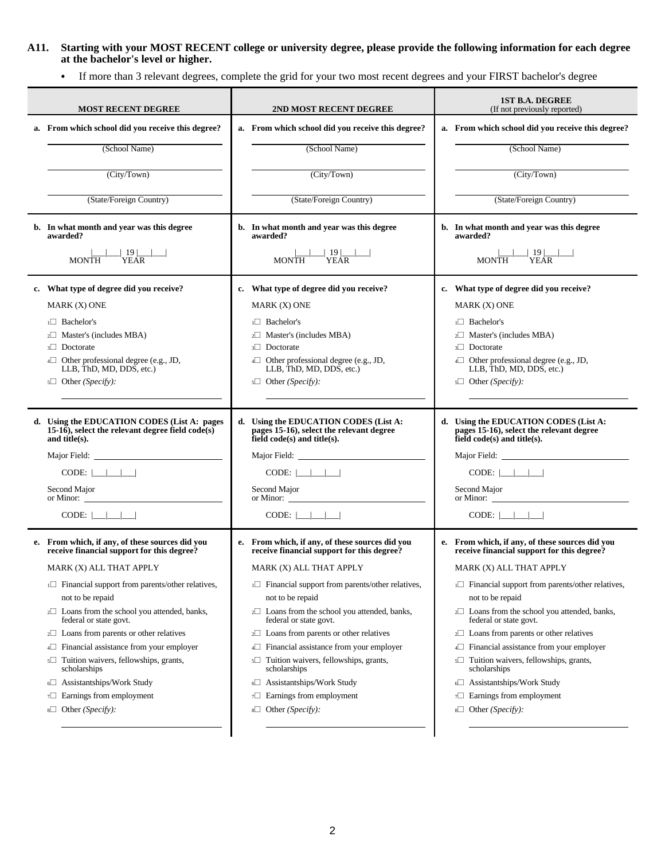**A11. Starting with your MOST RECENT college or university degree, please provide the following information for each degree at the bachelor's level or higher.**

C If more than 3 relevant degrees, complete the grid for your two most recent degrees and your FIRST bachelor's degree

| <b>MOST RECENT DEGREE</b>                                                                                                                                                                                                                                                                                                                                                                                                                                                                                                                                   | 2ND MOST RECENT DEGREE                                                                                                                                                                                                                                                                                                                                                                                                                                                                                                                                                                                                                                            | <b>1ST B.A. DEGREE</b><br>(If not previously reported)                                                                                                                                                                                                                                                                                                                                                                                                                                                                                                                        |
|-------------------------------------------------------------------------------------------------------------------------------------------------------------------------------------------------------------------------------------------------------------------------------------------------------------------------------------------------------------------------------------------------------------------------------------------------------------------------------------------------------------------------------------------------------------|-------------------------------------------------------------------------------------------------------------------------------------------------------------------------------------------------------------------------------------------------------------------------------------------------------------------------------------------------------------------------------------------------------------------------------------------------------------------------------------------------------------------------------------------------------------------------------------------------------------------------------------------------------------------|-------------------------------------------------------------------------------------------------------------------------------------------------------------------------------------------------------------------------------------------------------------------------------------------------------------------------------------------------------------------------------------------------------------------------------------------------------------------------------------------------------------------------------------------------------------------------------|
| a. From which school did you receive this degree?<br>(School Name)<br>(City/Town)                                                                                                                                                                                                                                                                                                                                                                                                                                                                           | a. From which school did you receive this degree?<br>(School Name)<br>(City/Town)                                                                                                                                                                                                                                                                                                                                                                                                                                                                                                                                                                                 | a. From which school did you receive this degree?<br>(School Name)<br>(City/Town)                                                                                                                                                                                                                                                                                                                                                                                                                                                                                             |
| (State/Foreign Country)                                                                                                                                                                                                                                                                                                                                                                                                                                                                                                                                     | (State/Foreign Country)                                                                                                                                                                                                                                                                                                                                                                                                                                                                                                                                                                                                                                           | (State/Foreign Country)                                                                                                                                                                                                                                                                                                                                                                                                                                                                                                                                                       |
| b. In what month and year was this degree<br>awarded?<br>$\frac{ 1 }{1}$ $\frac{ 19 }{YEAR}$ $-$<br><b>MONTH</b>                                                                                                                                                                                                                                                                                                                                                                                                                                            | b. In what month and year was this degree<br>awarded?<br>$\frac{ 19 }{YEAR}$<br>MONTH                                                                                                                                                                                                                                                                                                                                                                                                                                                                                                                                                                             | b. In what month and year was this degree<br>awarded?<br>$\frac{- 19 }{YEAR}$<br><b>MONTH</b>                                                                                                                                                                                                                                                                                                                                                                                                                                                                                 |
| c. What type of degree did you receive?<br>MARK (X) ONE<br>$1$ Bachelor's<br>$2\Box$ Master's (includes MBA)<br>$3\Box$ Doctorate<br>$4\Box$ Other professional degree (e.g., JD,<br>LLB, ThD, MD, DDS, etc.)<br>$5\Box$ Other ( <i>Specify</i> ):                                                                                                                                                                                                                                                                                                          | c. What type of degree did you receive?<br>MARK (X) ONE<br>$1 \square$ Bachelor's<br>$2 \Box$ Master's (includes MBA)<br>$3\Box$ Doctorate<br>$4\Box$ Other professional degree (e.g., JD,<br>LLB, ThD, MD, DDS, etc.)<br>$5\Box$ Other ( <i>Specify</i> ):                                                                                                                                                                                                                                                                                                                                                                                                       | c. What type of degree did you receive?<br>MARK (X) ONE<br>$1$ Bachelor's<br>$2 \Box$ Master's (includes MBA)<br>$3\Box$ Doctorate<br>$4\Box$ Other professional degree (e.g., JD,<br>LLB, ThD, MD, DDS, etc.)<br>$5\Box$ Other ( <i>Specify</i> ):                                                                                                                                                                                                                                                                                                                           |
| d. Using the EDUCATION CODES (List A: pages<br>$15-16$ , select the relevant degree field code(s)<br>and title $(s)$ .<br>Major Field: National Property of President Property and President President President Property and President President President President President President President President President President President President Pr<br>$CODE:$ $\Box$<br>Second Major<br>CODE:                                                                                                                                                         | d. Using the EDUCATION CODES (List A:<br>pages 15-16), select the relevant degree<br>field $code(s)$ and title(s).<br>$CODE:$ $\Box$<br>Second Major<br>or Minor:<br>$CODE:$ $\boxed{\begin{array}{c} \boxed{\begin{array}{c} \boxed{\begin{array}{c} \boxed{\begin{array}{c} \boxed{\begin{array}{c} \boxed{\begin{array}{c} \boxed{\begin{array}{c} \boxed{\begin{array}{c} \boxed{\begin{array}{c} \boxed{\begin{array}{c} \boxed{\begin{array}{c} \boxed{\begin{array}{c} \boxed{\begin{array}{c} \boxed{\begin{array}{c} \end{array}\\ \end{array}\\ \end{array}} \\ \end{array}} \\ \end{array}} \\ \end{array}} \\ \end{array}} \end{array}} \end{array}}$ | d. Using the EDUCATION CODES (List A:<br>pages 15-16), select the relevant degree<br>field $code(s)$ and title $(s)$ .<br>Major Field: National Assembly Property and Assembly Property and Assembly Property and Assembly Property and Assembly Property and Assembly Property and Assembly Property and Assembly Property and Assembly Property and As<br>$CODE:$ $\Box$<br>Second Major<br>Second Major<br>or Minor:<br>CODE:                                                                                                                                              |
| e. From which, if any, of these sources did you<br>receive financial support for this degree?<br>MARK (X) ALL THAT APPLY<br>$\Box$ Financial support from parents/other relatives,<br>not to be repaid<br>2 <sup>1</sup> Loans from the school you attended, banks,<br>federal or state govt.<br>$2 \Box$ Loans from parents or other relatives<br>4 Financial assistance from your employer<br>s□ Tuition waivers, fellowships, grants,<br>scholarships<br>6 Assistantships/Work Study<br>$\tau\Box$ Earnings from employment<br>$s \Box$ Other (Specify): | e. From which, if any, of these sources did you<br>receive financial support for this degree?<br>MARK (X) ALL THAT APPLY<br>$\Box$ Financial support from parents/other relatives,<br>not to be repaid<br>2 <sup>1</sup> Loans from the school you attended, banks,<br>federal or state govt.<br>$2\Box$ Loans from parents or other relatives<br>$4\Box$ Financial assistance from your employer<br>Tuition waivers, fellowships, grants,<br>$5\Box$<br>scholarships<br>6 Assistantships/Work Study<br>$\tau\Box$ Earnings from employment<br>$s \Box$ Other (Specify):                                                                                          | e. From which, if any, of these sources did you<br>receive financial support for this degree?<br>MARK (X) ALL THAT APPLY<br>$\Box$ Financial support from parents/other relatives,<br>not to be repaid<br>2 <sup>1</sup> Loans from the school you attended, banks,<br>federal or state govt.<br>$2 \Box$ Loans from parents or other relatives<br>$4\Box$ Financial assistance from your employer<br>Tuition waivers, fellowships, grants,<br>$5\Box$<br>scholarships<br>6□ Assistantships/Work Study<br>Earnings from employment<br>7<br>$s \Box$ Other ( <i>Specify</i> ): |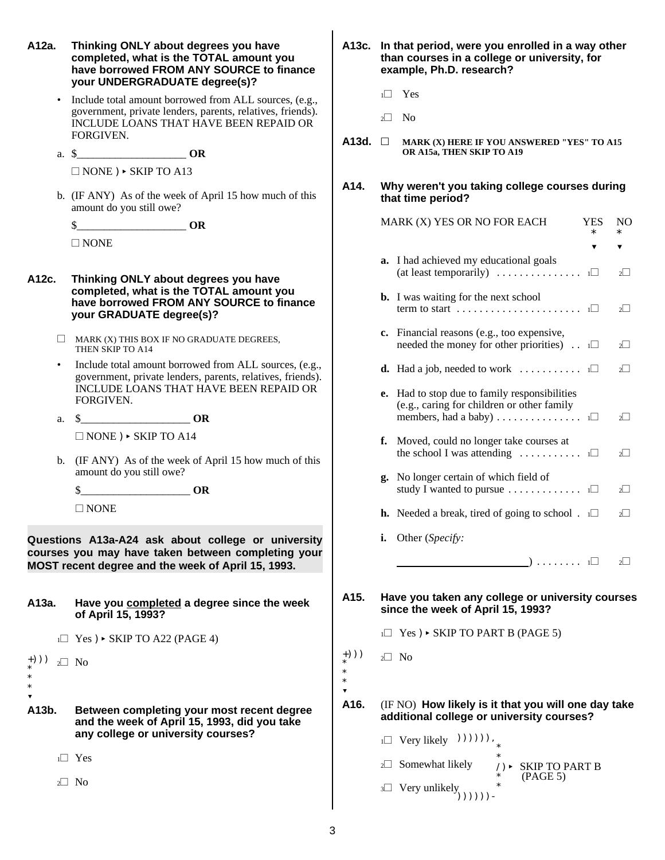+)))  $*$ <sup>(\*)</sup>) <sub>2</sub> $\Box$  No \* \* ? **A12a. Thinking ONLY about degrees you have A13c. In that period, were you enrolled in a way other completed, what is the TOTAL amount you than courses in a college or university, for have borrowed FROM ANY SOURCE to finance example, Ph.D. research? your UNDERGRADUATE degree(s)?** Include total amount borrowed from ALL sources, (e.g., government, private lenders, parents, relatives, friends). INCLUDE LOANS THAT HAVE BEEN REPAID OR FORGIVEN. a. \$\_\_\_\_\_\_\_\_\_\_\_\_\_\_\_\_\_\_\_\_ **OR**  $\Box$  NONE )  $\triangleright$  SKIP TO A13 b. (IF ANY) As of the week of April 15 how much of this amount do you still owe?  $\textbf{S}$  **OR**  $\Box$  NONE **A12c. Thinking ONLY about degrees you have completed, what is the TOTAL amount you have borrowed FROM ANY SOURCE to finance your GRADUATE degree(s)?**  $\Box$  MARK (X) THIS BOX IF NO GRADUATE DEGREES. THEN SKIP TO A14 Include total amount borrowed from ALL sources, (e.g., government, private lenders, parents, relatives, friends). INCLUDE LOANS THAT HAVE BEEN REPAID OR FORGIVEN. a. \$\_\_\_\_\_\_\_\_\_\_\_\_\_\_\_\_\_\_\_\_ **OR**  $\Box$  NONE )  $\triangleright$  SKIP TO A14 b. (IF ANY) As of the week of April 15 how much of this amount do you still owe? \$\_\_\_\_\_\_\_\_\_\_\_\_\_\_\_\_\_\_\_\_ **OR**  $\Box$  NONE **Questions A13a-A24 ask about college or university courses you may have taken between completing your MOST recent degree and the week of April 15, 1993. A13a. Have you completed a degree since the week of April 15, 1993?**  $1\Box$  Yes )  $\triangleright$  SKIP TO A22 (PAGE 4) **A13b. Between completing your most recent degree and the week of April 15, 1993, did you take any college or university courses?**  $1\Box$  Yes  $2\Box$  No  $1\Box$  Yes  $2\square$  No A13d.  $\Box$  MARK (X) HERE IF YOU ANSWERED "YES" TO A15 **OR A15a, THEN SKIP TO A19 A14. Why weren't you taking college courses during that time period?** MARK (X) YES OR NO FOR EACH YES NO **a.** I had achieved my educational goals (at least temporarily)  $\ldots \ldots \ldots \ldots$  1 $\Box$  2 $\Box$ **b.** I was waiting for the next school term to start  $\dots \dots \dots \dots \dots \dots \dots \dots \dots$  1 $\Box$  2 $\Box$ **c.** Financial reasons (e.g., too expensive, needed the money for other priorities)  $\Box$  2 $\Box$ **d.** Had a job, needed to work  $\ldots \ldots \ldots \ldots$  1 $\Box$  2 $\Box$ **e.** Had to stop due to family responsibilities (e.g., caring for children or other family members, had a baby) ............... <sup>1</sup>~ <sup>2</sup>~ **f.** Moved, could no longer take courses at the school I was attending  $\ldots \ldots \ldots$  1 $\Box$  2 $\Box$ **g.** No longer certain of which field of study I wanted to pursue  $\ldots \ldots \ldots$  1 $\Box$  2 $\Box$ **h.** Needed a break, tired of going to school .  $1 \square$  2 $\square$ **i.** Other (*Specify:* ) ........  $1\Box$  2 $\Box$ **A15. Have you taken any college or university courses since the week of April 15, 1993?**  $1\Box$  Yes )  $\triangleright$  SKIP TO PART B (PAGE 5)  $(+)$ ))  $_{2}$  No \* \* \* ? **A16.** (IF NO) **How likely is it that you will one day take additional college or university courses?**  $\Box$  Very likely  $)))))$ ), 2 $\Box$  Somewhat likely  $\overrightarrow{y}$  /)< SKIP TO PART B  $(PAGE 5)$  $\frac{1}{\sqrt{2}}$  \*  $\exists \Box$  Very unlikely ())))))

\* ? \* ?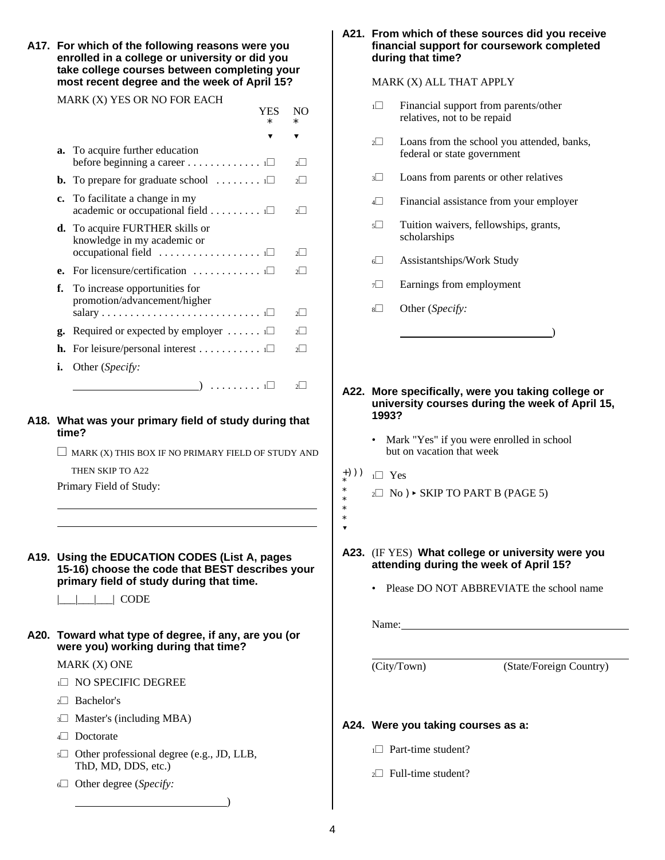**A17. For which of the following reasons were you financial support for coursework completed enrolled in a college or university or did you during that time? take college courses between completing your most recent degree and the week of April 15?** MARK (X) ALL THAT APPLY

YES NO

MARK (X) YES OR NO FOR EACH

|    | $\ast$                                                                                                                                                                     | $\ast$      |
|----|----------------------------------------------------------------------------------------------------------------------------------------------------------------------------|-------------|
|    |                                                                                                                                                                            |             |
|    | a. To acquire further education<br>before beginning a career $\dots \dots \dots \dots \dots$                                                                               |             |
|    | <b>b.</b> To prepare for graduate school $\dots \dots \dots \dots \dots$                                                                                                   |             |
|    | c. To facilitate a change in my<br>academic or occupational field $\ldots \ldots \ldots \square$                                                                           |             |
|    | <b>d.</b> To acquire FURTHER skills or<br>knowledge in my academic or                                                                                                      | $2^{\vert}$ |
| e. | For licensure/certification $\dots \dots \dots \dots \dots$                                                                                                                |             |
| f. | To increase opportunities for<br>promotion/advancement/higher<br>$\text{salary} \dots \dots \dots \dots \dots \dots \dots \dots \dots \dots \dots \dots \dots \dots \dots$ | $2^{\vert}$ |
| g. | Required or expected by employer $\dots \dots$                                                                                                                             | $2^{\vert}$ |
|    | <b>h.</b> For leisure/personal interest $\Box$                                                                                                                             | $2^1$       |
| i. | Other (Specify:                                                                                                                                                            |             |
|    | $) \ldots \ldots \ldots \ldots \square$                                                                                                                                    |             |

### **A18. What was your primary field of study during that time?**

 $\Box$  MARK (X) THIS BOX IF NO PRIMARY FIELD OF STUDY AND

THEN SKIP TO A22

Primary Field of Study:

**A19. Using the EDUCATION CODES (List A, pages 15-16) choose the code that BEST describes your primary field of study during that time.**

 $\Box$  CODE

**A20. Toward what type of degree, if any, are you (or were you) working during that time?**

### MARK (X) ONE

- 1<sup>1</sup> NO SPECIFIC DEGREE
- $2\Box$  Bachelor's
- $3\Box$  Master's (including MBA)
- 4<sup>1</sup> Doctorate
- $5\Box$  Other professional degree (e.g., JD, LLB, ThD, MD, DDS, etc.)

 $\hspace{1.5cm}$  ) and the contract of  $\hspace{1.5cm}$ 

<sup>6</sup>~ Other degree (*Specify:*

# **A21. From which of these sources did you receive**

- $1\Box$  Financial support from parents/other relatives, not to be repaid
- 2<sup>1</sup> Loans from the school you attended, banks, federal or state government
- <sup>3 $\Box$ </sup> Loans from parents or other relatives
- 4<sup> $\Box$ </sup> Financial assistance from your employer
- 5<sup> $\Box$ </sup> Tuition waivers, fellowships, grants, scholarships
- <sup>6</sup>~ Assistantships/Work Study
- $7\Box$  Earnings from employment
- 8<sup>8</sup> Other (*Specify*:
- **A22. More specifically, were you taking college or university courses during the week of April 15, 1993?**

 $\qquad \qquad \qquad$ 

- Mark "Yes" if you were enrolled in school but on vacation that week
- $(+)$ ))  $_1\Box$  Yes \*

i<br>I l, \* \* \* \* ?

- $2\Box$  No )  $\triangleright$  SKIP TO PART B (PAGE 5)
- **A23.** (IF YES) **What college or university were you attending during the week of April 15?**
	- Please DO NOT ABBREVIATE the school name

Name:

(City/Town) (State/Foreign Country)

### **A24. Were you taking courses as a:**

- $1\Box$  Part-time student?
- $2\Box$  Full-time student?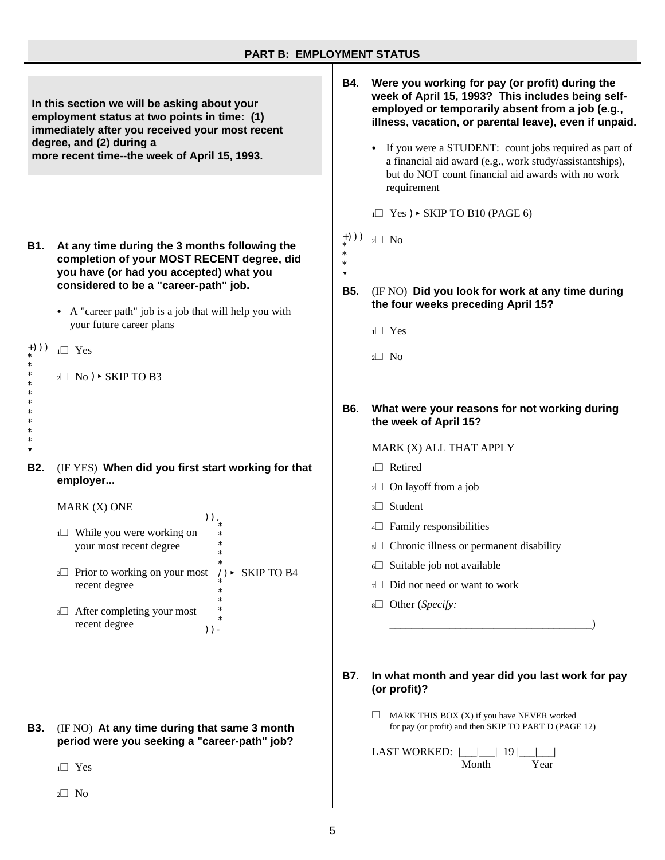### **PART B: EMPLOYMENT STATUS**

+))) \* \* \* ? **In this section we will be asking about your employment status at two points in time: (1) immediately after you received your most recent degree, and (2) during a more recent time--the week of April 15, 1993. B1. At any time during the 3 months following the completion of your MOST RECENT degree, did you have (or had you accepted) what you considered to be a "career-path" job.**  $\bullet$  A "career path" job is a job that will help you with your future career plans  $(*)$ ))  $_1\Box$  Yes \* \* \* \* \* \* \* \* \* ?  $2\Box$  No )  $\triangleright$  SKIP TO B3 **B2.** (IF YES) **When did you first start working for that employer...** MARK (X) ONE )), \* \* \* \* \*  $_{2}\square$  Prior to working on your most /)  $\triangleright$  SKIP TO B4 \* \* \* \* \* ))-  $1\Box$  While you were working on your most recent degree recent degree  $3\Box$  After completing your most recent degree **B4. Were you working for pay (or profit) during the week of April 15, 1993? This includes being selfemployed or temporarily absent from a job (e.g., illness, vacation, or parental leave), even if unpaid.** If you were a STUDENT: count jobs required as part of a financial aid award (e.g., work study/assistantships), but do NOT count financial aid awards with no work requirement  $1\Box$  Yes )  $\triangleright$  SKIP TO B10 (PAGE 6)  $2\square$  No **B5.** (IF NO) **Did you look for work at any time during the four weeks preceding April 15?**  $1\Box$  Yes  $2\square$  No **B6. What were your reasons for not working during the week of April 15?** MARK (X) ALL THAT APPLY  $1\Box$  Retired  $2\Box$  On layoff from a job  $3\Box$  Student  $4\Box$  Family responsibilities  $5\Box$  Chronic illness or permanent disability  $6\Box$  Suitable job not available  $7\Box$  Did not need or want to work <sup>8</sup>~ Other (*Specify:* \_\_\_\_\_\_\_\_\_\_\_\_\_\_\_\_\_\_\_\_\_\_\_\_\_\_\_\_\_\_\_\_\_\_\_\_\_) **B7. In what month and year did you last work for pay (or profit)?**

> $\Box$  MARK THIS BOX (X) if you have NEVER worked for pay (or profit) and then SKIP TO PART D (PAGE 12)

LAST WORKED: |\_\_\_|\_\_\_| 19 |\_\_\_|\_\_\_| Month Year

**B3.** (IF NO) **At any time during that same 3 month period were you seeking a "career-path" job?**

 $1\Box$  Yes

 $2\square$  No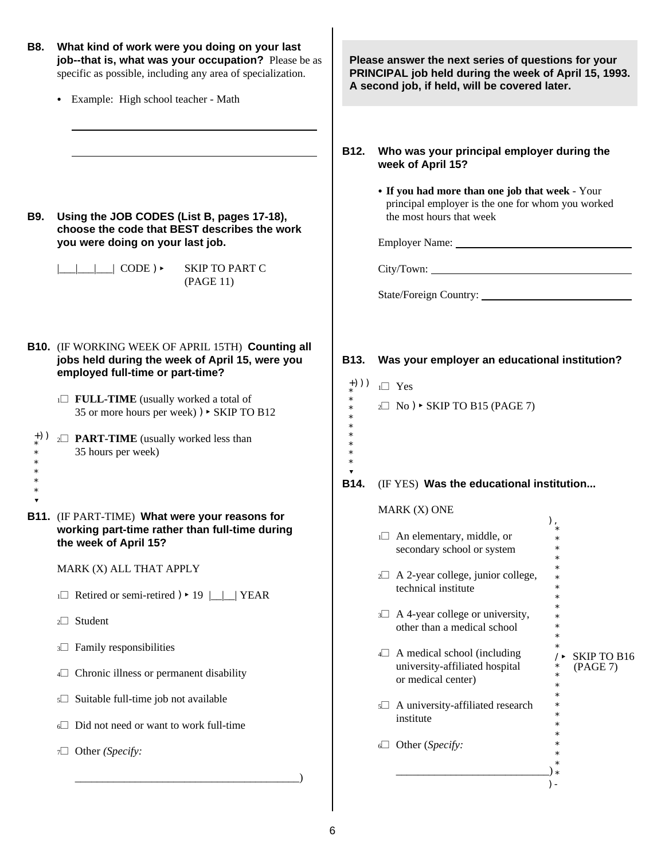| <b>B8.</b>  | What kind of work were you doing on your last<br>job--that is, what was your occupation? Please be as<br>specific as possible, including any area of specialization.                                                                                                                                                            | Please answer the next series of questions for your<br>PRINCIPAL job held during the week of April 15, 1993.<br>A second job, if held, will be covered later. |                                                                                                                                                                                                                                                                                                             |                                          |  |  |
|-------------|---------------------------------------------------------------------------------------------------------------------------------------------------------------------------------------------------------------------------------------------------------------------------------------------------------------------------------|---------------------------------------------------------------------------------------------------------------------------------------------------------------|-------------------------------------------------------------------------------------------------------------------------------------------------------------------------------------------------------------------------------------------------------------------------------------------------------------|------------------------------------------|--|--|
|             | Example: High school teacher - Math<br>$\bullet$                                                                                                                                                                                                                                                                                |                                                                                                                                                               |                                                                                                                                                                                                                                                                                                             |                                          |  |  |
| <b>B</b> 9. | Using the JOB CODES (List B, pages 17-18),<br>choose the code that BEST describes the work                                                                                                                                                                                                                                      | B12.                                                                                                                                                          | Who was your principal employer during the<br>week of April 15?<br>• If you had more than one job that week - Your<br>principal employer is the one for whom you worked<br>the most hours that week                                                                                                         |                                          |  |  |
|             | you were doing on your last job.<br>$\vert \vert$ $\vert$ $\vert$ CODE) $\rightarrow$<br><b>SKIP TO PART C</b><br>(PAGE 11)                                                                                                                                                                                                     |                                                                                                                                                               | Employer Name: Name:                                                                                                                                                                                                                                                                                        |                                          |  |  |
|             | <b>B10.</b> (IF WORKING WEEK OF APRIL 15TH) Counting all<br>jobs held during the week of April 15, were you<br>employed full-time or part-time?                                                                                                                                                                                 | <b>B13.</b><br>$+))$ )                                                                                                                                        | Was your employer an educational institution?<br>$1 \square$ Yes                                                                                                                                                                                                                                            |                                          |  |  |
|             | 1 <sup>1</sup> FULL-TIME (usually worked a total of<br>35 or more hours per week) ) ▶ SKIP TO B12                                                                                                                                                                                                                               |                                                                                                                                                               | $2 \square$ No ) $\triangleright$ SKIP TO B15 (PAGE 7)                                                                                                                                                                                                                                                      |                                          |  |  |
|             | 2 <sup>1</sup> <b>PART-TIME</b> (usually worked less than<br>35 hours per week)                                                                                                                                                                                                                                                 | <b>B14.</b>                                                                                                                                                   | (IF YES) Was the educational institution                                                                                                                                                                                                                                                                    |                                          |  |  |
|             | B11. (IF PART-TIME) What were your reasons for<br>working part-time rather than full-time during<br>the week of April 15?<br>MARK (X) ALL THAT APPLY<br>$\Box$ Retired or semi-retired $) \cdot 19 \quad \boxed{\Box}$ YEAR<br>2 <sup>1</sup> Student<br>3 Family responsibilities<br>4 Chronic illness or permanent disability |                                                                                                                                                               | MARK (X) ONE<br>$1 \square$ An elementary, middle, or<br>secondary school or system<br>$2 \Box$ A 2-year college, junior college,<br>technical institute<br>$3\Box$ A 4-year college or university,<br>other than a medical school<br>$4\Box$ A medical school (including<br>university-affiliated hospital | $\ast$<br><b>SKIP TO B16</b><br>(PAGE 7) |  |  |
|             | s□ Suitable full-time job not available<br>⊙ Did not need or want to work full-time<br>$\tau$ Other (Specify:                                                                                                                                                                                                                   |                                                                                                                                                               | or medical center)<br>5 A university-affiliated research<br>institute<br>$\Box$ Other (Specify:                                                                                                                                                                                                             | $\ast$                                   |  |  |
|             |                                                                                                                                                                                                                                                                                                                                 |                                                                                                                                                               |                                                                                                                                                                                                                                                                                                             | $) -$                                    |  |  |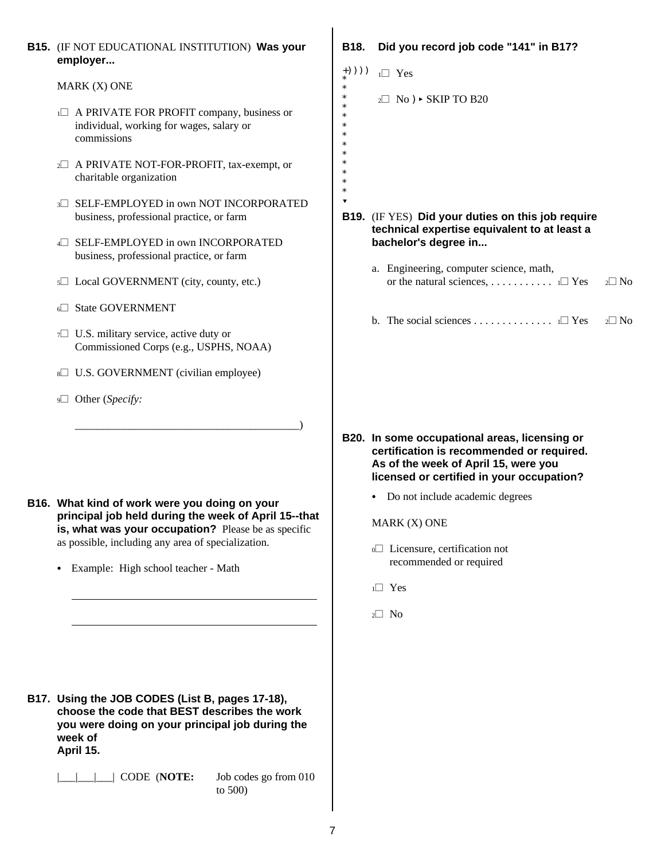| <b>B15.</b> (IF NOT EDUCATIONAL INSTITUTION) Was your<br>employer                                                                                                                                                                                                      | B18.                                            | Did you record job code "141" in B17?                                                                                                                                                                                                                                                                                                |               |
|------------------------------------------------------------------------------------------------------------------------------------------------------------------------------------------------------------------------------------------------------------------------|-------------------------------------------------|--------------------------------------------------------------------------------------------------------------------------------------------------------------------------------------------------------------------------------------------------------------------------------------------------------------------------------------|---------------|
| MARK (X) ONE<br>1 A PRIVATE FOR PROFIT company, business or<br>individual, working for wages, salary or<br>commissions<br>2 A PRIVATE NOT-FOR-PROFIT, tax-exempt, or                                                                                                   | $+))))$<br>$\ast$<br>$\ast$<br>$\ast$<br>$\ast$ | $1 \square$ Yes<br>$2 \square$ No ) $\triangleright$ SKIP TO B20                                                                                                                                                                                                                                                                     |               |
| charitable organization<br>SELF-EMPLOYED in own NOT INCORPORATED<br>business, professional practice, or farm<br>SELF-EMPLOYED in own INCORPORATED<br>business, professional practice, or farm<br>5□ Local GOVERNMENT (city, county, etc.)                              | $\blacktriangledown$                            | B19. (IF YES) Did your duties on this job require<br>technical expertise equivalent to at least a<br>bachelor's degree in<br>a. Engineering, computer science, math,                                                                                                                                                                 | $2\square$ No |
| <b>State GOVERNMENT</b><br>7 U.S. military service, active duty or<br>Commissioned Corps (e.g., USPHS, NOAA)<br>U.S. GOVERNMENT (civilian employee)<br>9□ Other (Specify:                                                                                              |                                                 | b. The social sciences $\Box$ Yes                                                                                                                                                                                                                                                                                                    | $2\square$ No |
| B16. What kind of work were you doing on your<br>principal job held during the week of April 15--that<br>is, what was your occupation? Please be as specific<br>as possible, including any area of specialization.<br>Example: High school teacher - Math<br>$\bullet$ |                                                 | B20. In some occupational areas, licensing or<br>certification is recommended or required.<br>As of the week of April 15, were you<br>licensed or certified in your occupation?<br>• Do not include academic degrees<br>MARK (X) ONE<br>o□ Licensure, certification not<br>recommended or required<br>$1 \square$ Yes<br>$2 \Box$ No |               |
| B17. Using the JOB CODES (List B, pages 17-18),<br>choose the code that BEST describes the work<br>you were doing on your principal job during the<br>week of<br>April 15.<br>CODE (NOTE:<br>Job codes go from 010                                                     |                                                 |                                                                                                                                                                                                                                                                                                                                      |               |

to 500)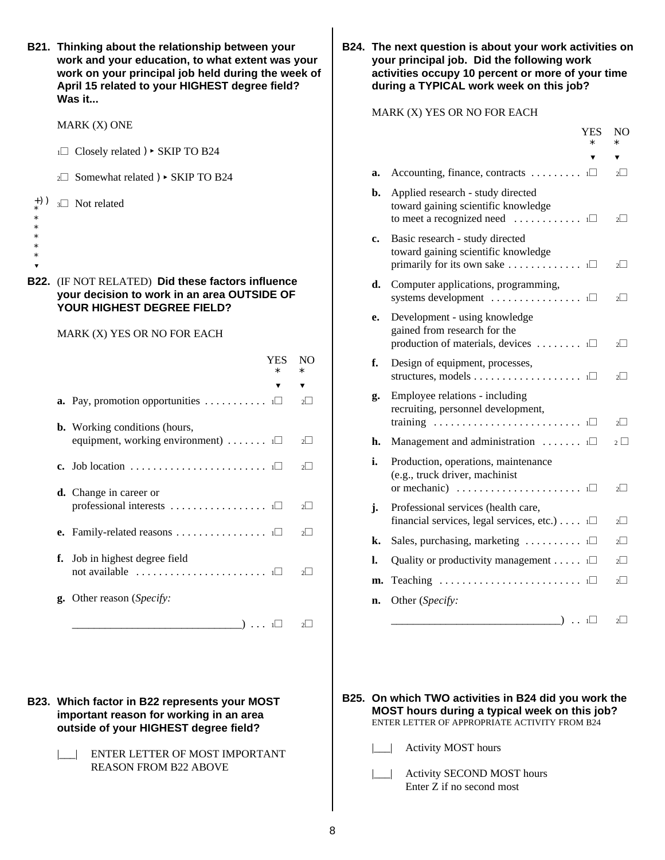|                                                          | B21. Thinking about the relationship between your<br>work and your education, to what extent was your<br>work on your principal job held during the week o<br>April 15 related to your HIGHEST degree field?<br>Was it |                      |               |
|----------------------------------------------------------|------------------------------------------------------------------------------------------------------------------------------------------------------------------------------------------------------------------------|----------------------|---------------|
|                                                          | MARK (X) ONE                                                                                                                                                                                                           |                      |               |
|                                                          | $\Box$ Closely related $) \triangleright$ SKIP TO B24                                                                                                                                                                  |                      |               |
|                                                          | 2 <sup>1</sup> Somewhat related ) > SKIP TO B24                                                                                                                                                                        |                      |               |
| $+)$ )<br>$\ast$<br>$\ast$<br>$\ast$<br>$\ast$<br>$\ast$ | 3 <sup>1</sup> Not related                                                                                                                                                                                             |                      |               |
| B22.                                                     | (IF NOT RELATED) Did these factors influence<br>your decision to work in an area OUTSIDE OF<br>YOUR HIGHEST DEGREE FIELD?                                                                                              |                      |               |
|                                                          | MARK (X) YES OR NO FOR EACH                                                                                                                                                                                            |                      |               |
|                                                          |                                                                                                                                                                                                                        | <b>YES</b><br>$\ast$ | NO.<br>$\ast$ |
|                                                          | <b>a.</b> Pay, promotion opportunities $\ldots \ldots \ldots \ldots \square$                                                                                                                                           |                      | ▼<br>$2\Box$  |
|                                                          | <b>b.</b> Working conditions (hours,<br>equipment, working environment) $\ldots \ldots$                                                                                                                                |                      | $2 \mid$      |
|                                                          |                                                                                                                                                                                                                        |                      | $2^{\square}$ |
|                                                          | d. Change in career or                                                                                                                                                                                                 |                      | $2^{\vert}$ ] |
|                                                          | e.                                                                                                                                                                                                                     |                      | $2\Box$       |
|                                                          | Job in highest degree field<br>f.<br>not available $\dots \dots \dots \dots \dots \dots \dots \dots \dots$                                                                                                             |                      | $2\Box$       |
|                                                          | g. Other reason (Specify:<br>$\begin{array}{c} \begin{array}{c} \begin{array}{c} \end{array} \end{array}$ 1 $\Box$                                                                                                     |                      | $2\Box$       |
|                                                          |                                                                                                                                                                                                                        |                      |               |

**B23. Which factor in B22 represents your MOST important reason for working in an area outside of your HIGHEST degree field?**

> |\_\_\_| ENTER LETTER OF MOST IMPORTANT REASON FROM B22 ABOVE

**B24.** The next question is about your work activities on **ur** | your principal job. Did the following work of **work on activities occupy 10 percent or more of your time** during a TYPICAL work week on this job?

### MARK (X) YES OR NO FOR EACH

|    |                                                                                                                                          | YES.<br>* | NO<br>*       |
|----|------------------------------------------------------------------------------------------------------------------------------------------|-----------|---------------|
|    |                                                                                                                                          |           |               |
| a. | Accounting, finance, contracts 1□                                                                                                        |           | $2 \mid$      |
| b. | Applied research - study directed<br>toward gaining scientific knowledge<br>to meet a recognized need $\ldots \ldots \ldots \ldots$      |           | $2^{\square}$ |
| c. | Basic research - study directed<br>toward gaining scientific knowledge<br>primarily for its own sake $\dots \dots \dots \dots \dots$     |           | $\sqrt{ }$    |
| d. | Computer applications, programming,<br>systems development $\dots \dots \dots \dots \dots \dots$                                         |           | $\sqrt{ }$    |
| e. | Development - using knowledge<br>gained from research for the<br>production of materials, devices $\dots \dots \dots$                    |           | $2^{\square}$ |
| f. | Design of equipment, processes,<br>structures, models $\Box$                                                                             |           | $2\square$    |
| g. | Employee relations - including<br>recruiting, personnel development,<br>training                                                         | 1         | $2 \mid$      |
| h. | Management and administration $\ldots \ldots$                                                                                            |           | $2\Box$       |
| i. | Production, operations, maintenance<br>(e.g., truck driver, machinist<br>or mechanic) $\ldots \ldots \ldots \ldots \ldots \ldots \ldots$ |           | $2\square$    |
| j. | Professional services (health care,<br>financial services, legal services, etc.) $\dots$ 1                                               |           | $\frac{1}{2}$ |
| k. | Sales, purchasing, marketing $\dots \dots \dots \dots$                                                                                   |           | $\sqrt{ }$    |
| l. | Quality or productivity management                                                                                                       | $1 \Box$  | $2^{\vert}$   |
| m. |                                                                                                                                          |           | $2^{\vert}$   |
| n. | Other (Specify:                                                                                                                          |           |               |
|    | $\Box$ ) $\ldots$ 1 $\Box$                                                                                                               |           | $2 \mid$      |

**B25. On which TWO activities in B24 did you work the MOST hours during a typical week on this job?** ENTER LETTER OF APPROPRIATE ACTIVITY FROM B24

- |\_\_\_| Activity MOST hours
- |\_\_| Activity SECOND MOST hours Enter Z if no second most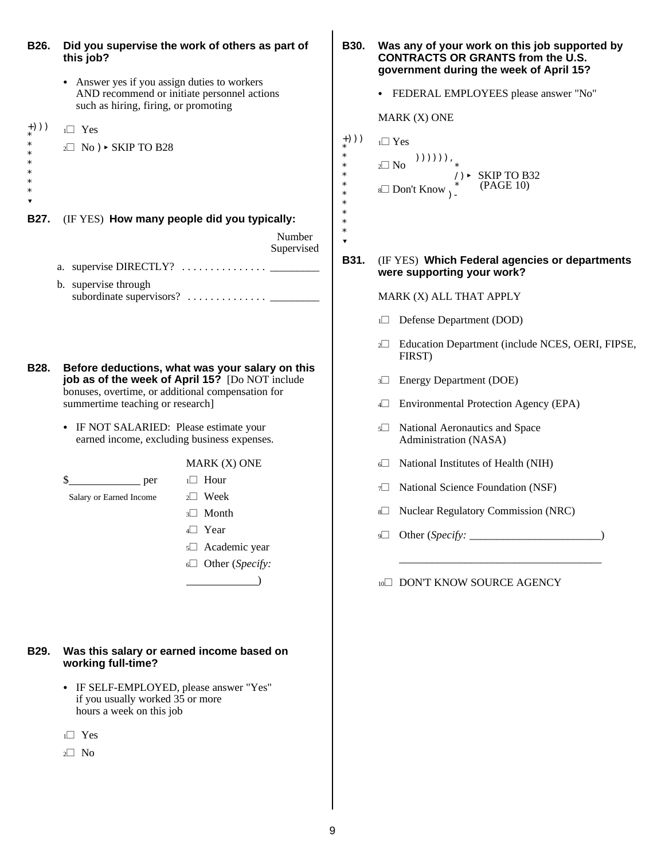- +))) \* \* \* \* \* \* \* ? +))) \* \* \* \* \* \* \* \* \* \* ? **B26. Did you supervise the work of others as part of B30. Was any of your work on this job supported by this job? CONTRACTS OR GRANTS from the U.S.** • Answer yes if you assign duties to workers AND recommend or initiate personnel actions **COVER FEDERAL EMPLOYEES** please answer "No" such as hiring, firing, or promoting  $1\Box$  Yes  $2 \square$  No )  $\triangleright$  SKIP TO B28 **B27.** (IF YES) **How many people did you typically:** Number Supervised a. supervise DIRECTLY? ............... \_\_\_\_\_\_\_\_\_ b. supervise through subordinate supervisors? .............. \_\_\_\_\_\_\_\_\_ **B28. Before deductions, what was your salary on this job as of the week of April 15?** [Do NOT include bonuses, overtime, or additional compensation for summertime teaching or research] • IF NOT SALARIED: Please estimate your earned income, excluding business expenses. MARK (X) ONE  $\text{S}$  per 1 $\Box$  Hour Salary or Earned Income  $2\Box$  Week  $3\Box$  Month  $4$  Year  $5\Box$  Academic year <sup>6</sup>~ Other (*Specify:*  $\overline{\phantom{a}}$ **B29. Was this salary or earned income based on working full-time?** • IF SELF-EMPLOYED, please answer "Yes" if you usually worked 35 or more hours a week on this job
	- $1\Box$  Yes
	- $2\square$  No

# **government during the week of April 15?**

MARK (X) ONE

 $1\square$  Yes  $_{2}\square$  No  $\hspace{0.6cm}$   $))$ )))), \* /)< SKIP TO B32  $^*$  (PAGE 10)  $\mathbb{S}$  Don't Know  $\mathbb{S}$ 

### **B31.** (IF YES) **Which Federal agencies or departments were supporting your work?**

MARK (X) ALL THAT APPLY

- 1<sup>1</sup> Defense Department (DOD)
- 2<sup>1</sup> Education Department (include NCES, OERI, FIPSE, FIRST)
- 3<sup>3</sup> Energy Department (DOE)
- 4<sup> $\Box$ </sup> Environmental Protection Agency (EPA)
- $5\Box$  National Aeronautics and Space Administration (NASA)
- $6\Box$  National Institutes of Health (NIH)
- 7 $\Box$  National Science Foundation (NSF)
- 8<sup>8</sup> Nuclear Regulatory Commission (NRC)
- <sup>9</sup>~ Other (*Specify:* \_\_\_\_\_\_\_\_\_\_\_\_\_\_\_\_\_\_\_\_\_\_\_\_)

\_\_\_\_\_\_\_\_\_\_\_\_\_\_\_\_\_\_\_\_\_\_\_\_\_\_\_\_\_\_\_\_\_\_\_\_\_

10<sup> $\Box$ </sup> DON'T KNOW SOURCE AGENCY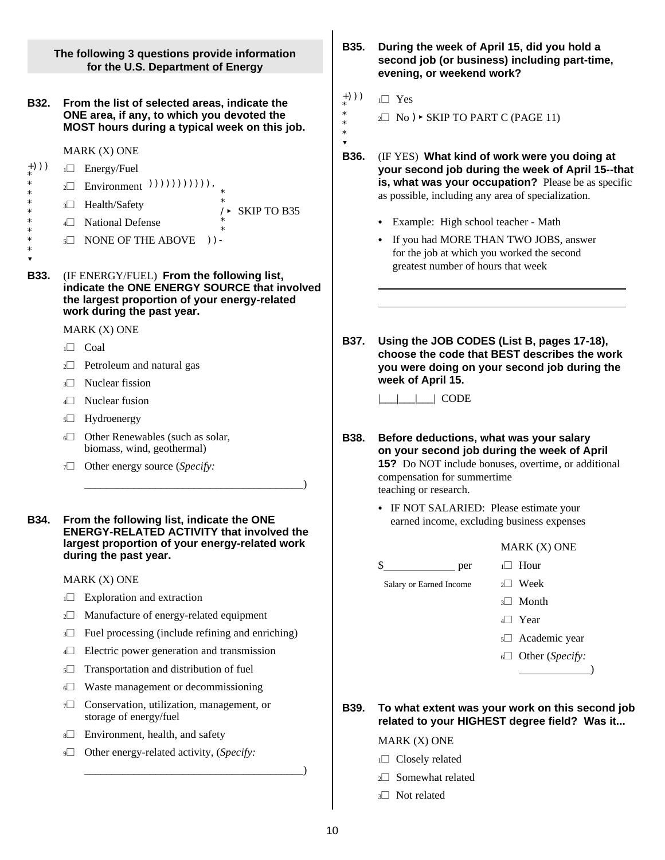+))) \* \* \* \* \* \* \* \* \* ? +))) \* \* \* \* ? **The following 3 questions provide information for the U.S. Department of Energy B32. From the list of selected areas, indicate the ONE area, if any, to which you devoted the MOST hours during a typical week on this job.** MARK (X) ONE  $1\Box$  Energy/Fuel  $\Box$  Environment  $))))))))))$ ))), \* /< SKIP TO B35 4<sup>1</sup> National Defense \* \*  $5\Box$  NONE OF THE ABOVE )) -3<sup>3</sup> Health/Safety **B33.** (IF ENERGY/FUEL) **From the following list, indicate the ONE ENERGY SOURCE that involved the largest proportion of your energy-related work during the past year.** MARK (X) ONE  $1\Box$  Coal  $2\Box$  Petroleum and natural gas  $3\Box$  Nuclear fission  $4\Box$  Nuclear fusion  $5\Box$  Hydroenergy  $6\Box$  Other Renewables (such as solar, biomass, wind, geothermal) 7 $\Box$  Other energy source (*Specify*: \_\_\_\_\_\_\_\_\_\_\_\_\_\_\_\_\_\_\_\_\_\_\_\_\_\_\_\_\_\_\_\_\_\_\_\_\_\_\_\_) **B34. From the following list, indicate the ONE ENERGY-RELATED ACTIVITY that involved the largest proportion of your energy-related work during the past year.** MARK (X) ONE  $1\Box$  Exploration and extraction  $2\Box$  Manufacture of energy-related equipment  $3\Box$  Fuel processing (include refining and enriching) <sup>4</sup>~ Electric power generation and transmission  $5\Box$  Transportation and distribution of fuel <sup>6</sup>~ Waste management or decommissioning 7 $\Box$  Conservation, utilization, management, or storage of energy/fuel  $8\Box$  Environment, health, and safety 9 $\Box$  Other energy-related activity, (*Specify*: \_\_\_\_\_\_\_\_\_\_\_\_\_\_\_\_\_\_\_\_\_\_\_\_\_\_\_\_\_\_\_\_\_\_\_\_\_\_\_\_) **B35. During the week of April 15, did you hold a second job (or business) including part-time, evening, or weekend work?**  $1\Box$  Yes  $2\Box$  No )  $\triangleright$  SKIP TO PART C (PAGE 11) **B36.** (IF YES) **What kind of work were you doing at your second job during the week of April 15--that is, what was your occupation?** Please be as specific as possible, including any area of specialization. • Example: High school teacher - Math • If you had MORE THAN TWO JOBS, answer for the job at which you worked the second greatest number of hours that week **B37. Using the JOB CODES (List B, pages 17-18), choose the code that BEST describes the work you were doing on your second job during the week of April 15.**  $\Box$   $\Box$  CODE **B38. Before deductions, what was your salary on your second job during the week of April 15?** Do NOT include bonuses, overtime, or additional compensation for summertime teaching or research. • IF NOT SALARIED: Please estimate your earned income, excluding business expenses MARK (X) ONE  $\frac{1}{2}$  per  $\frac{1}{2}$  Hour Salary or Earned Income  $2\Box$  Week  $3$  Month  $4\Box$  Year 5<sup>1</sup> Academic year <sup>6</sup>~ Other (*Specify:* **B39. To what extent was your work on this second job related to your HIGHEST degree field? Was it...** MARK (X) ONE  $1\Box$  Closely related  $2\Box$  Somewhat related 3 $\Box$  Not related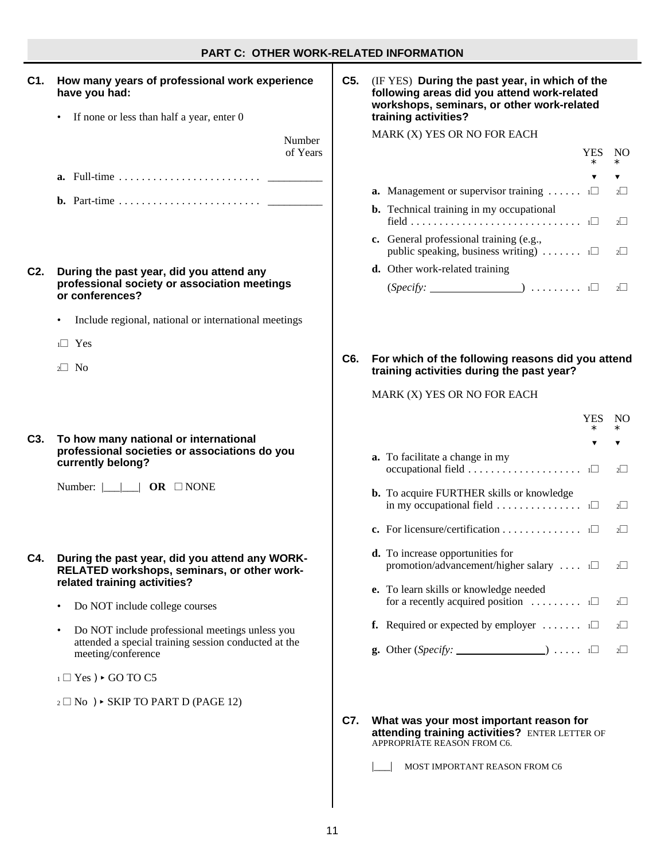### **PART C: OTHER WORK-RELATED INFORMATION**

| C1.              | How many years of professional work experience<br>have you had:                                                                                                                                                                                                                                                                                                                                                                          | C5. | (IF YES) During the past year, in which of th<br>following areas did you attend work-related<br>workshops, seminars, or other work-related                                                                                                                                                                                                   |
|------------------|------------------------------------------------------------------------------------------------------------------------------------------------------------------------------------------------------------------------------------------------------------------------------------------------------------------------------------------------------------------------------------------------------------------------------------------|-----|----------------------------------------------------------------------------------------------------------------------------------------------------------------------------------------------------------------------------------------------------------------------------------------------------------------------------------------------|
|                  | If none or less than half a year, enter 0<br>Number<br>of Years                                                                                                                                                                                                                                                                                                                                                                          |     | training activities?<br>MARK (X) YES OR NO FOR EACH<br>YE<br>$\ast$                                                                                                                                                                                                                                                                          |
| C <sub>2</sub> . | During the past year, did you attend any<br>professional society or association meetings<br>or conferences?<br>Include regional, national or international meetings<br>$\bullet$<br>$1 \square$ Yes                                                                                                                                                                                                                                      |     | <b>a.</b> Management or supervisor training $\dots \dots$<br><b>b.</b> Technical training in my occupational<br>c. General professional training (e.g.,<br>public speaking, business writing) $\ldots \ldots$ $\Box$<br>d. Other work-related training<br>$(Specify:$ $\qquad \qquad$ $\qquad \qquad$ $\qquad \qquad$ $\qquad \qquad$ $\Box$ |
|                  | $2 \Box$ No                                                                                                                                                                                                                                                                                                                                                                                                                              | C6. | For which of the following reasons did you<br>training activities during the past year?<br>MARK (X) YES OR NO FOR EACH<br>YE                                                                                                                                                                                                                 |
| C <sub>3</sub> . | To how many national or international<br>professional societies or associations do you<br>currently belong?                                                                                                                                                                                                                                                                                                                              |     | $\ast$<br>$\overline{\mathbf{v}}$<br>a. To facilitate a change in my<br><b>b.</b> To acquire FURTHER skills or knowledge<br>in my occupational field $\dots \dots \dots \dots \dots$<br>c. For licensure/certification $\Box$                                                                                                                |
| C4.              | During the past year, did you attend any WORK-<br>RELATED workshops, seminars, or other work-<br>related training activities?<br>Do NOT include college courses<br>$\bullet$<br>Do NOT include professional meetings unless you<br>$\bullet$<br>attended a special training session conducted at the<br>meeting/conference<br>$_1 \square$ Yes) $\triangleright$ GO TO C5<br>$_2 \square$ No $) \triangleright$ SKIP TO PART D (PAGE 12) |     | d. To increase opportunities for<br>promotion/advancement/higher salary $\Box$<br>e. To learn skills or knowledge needed<br>for a recently acquired position $\ldots \ldots \ldots$<br><b>f.</b> Required or expected by employer $\dots \dots$                                                                                              |
|                  |                                                                                                                                                                                                                                                                                                                                                                                                                                          | C7. | What was your most important reason for<br>attending training activities? ENTER LETTER O<br>APPROPRIATE REASON FROM C6.<br>MOST IMPORTANT REASON FROM C6                                                                                                                                                                                     |

| following areas did you attend work-related<br>workshops, seminars, or other work-related | training activities?                                                                                                          |
|-------------------------------------------------------------------------------------------|-------------------------------------------------------------------------------------------------------------------------------|
|                                                                                           | MARK (X) YES OR NO FOR EACH                                                                                                   |
|                                                                                           | YES<br>$\ast$                                                                                                                 |
|                                                                                           |                                                                                                                               |
| a.                                                                                        | Management or supervisor training<br>1                                                                                        |
|                                                                                           | <b>b.</b> Technical training in my occupational<br>$1\Box$                                                                    |
| c.                                                                                        | General professional training (e.g.,<br>public speaking, business writing) $\ldots \ldots$                                    |
|                                                                                           | d. Other work-related training                                                                                                |
|                                                                                           | $(Specify:$ $\Box$                                                                                                            |
|                                                                                           | For which of the following reasons did you attend<br>training activities during the past year?<br>MARK (X) YES OR NO FOR EACH |
|                                                                                           | YES                                                                                                                           |
|                                                                                           | *                                                                                                                             |
|                                                                                           | ▼<br><b>a.</b> To facilitate a change in my<br>occupational field<br>1                                                        |
|                                                                                           | <b>b.</b> To acquire FURTHER skills or knowledge                                                                              |
|                                                                                           | in my occupational field $\dots \dots \dots \dots \dots$<br>c. For licensure/certification $\Box$                             |
|                                                                                           | <b>d.</b> To increase opportunities for<br>promotion/advancement/higher salary $\dots$ $\square$                              |
|                                                                                           | e. To learn skills or knowledge needed<br>for a recently acquired position<br>1                                               |
| f.                                                                                        | Required or expected by employer<br>1                                                                                         |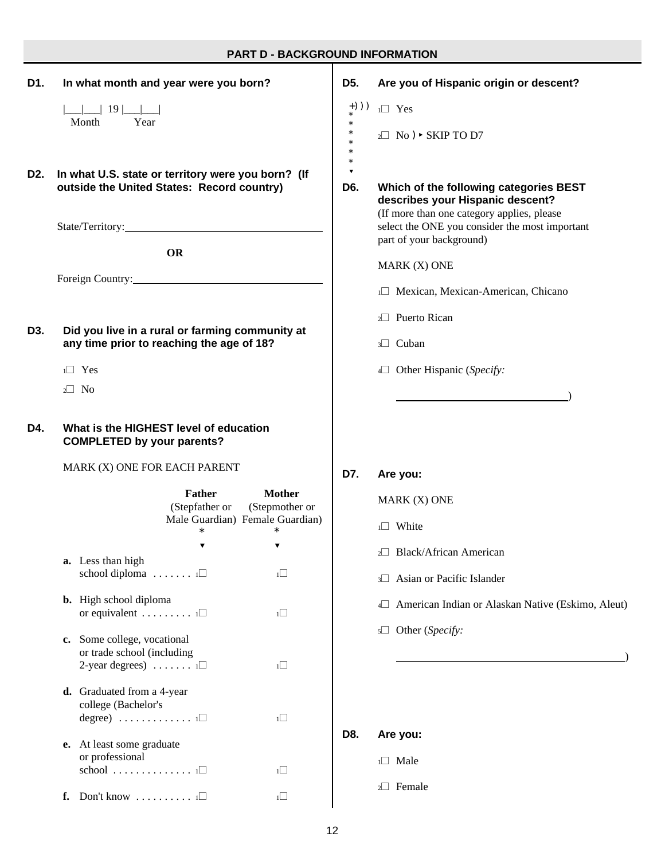## **PART D - BACKGROUND INFORMATION**

| D1. | In what month and year were you born?                                                                          | D <sub>5</sub> .            | Are you of Hispanic origin or descent?                                                                                   |
|-----|----------------------------------------------------------------------------------------------------------------|-----------------------------|--------------------------------------------------------------------------------------------------------------------------|
|     | $\Box$ 19 $\Box$                                                                                               | $+))$ )                     | $1 \square$ Yes                                                                                                          |
|     | Year<br>Month                                                                                                  | $\ast$<br>$\ast$<br>$\ast$  | $2 \square$ No ) $\triangleright$ SKIP TO D7                                                                             |
| D2. | In what U.S. state or territory were you born? (If<br>outside the United States: Record country)               | $\blacktriangledown$<br>D6. | Which of the following categories BEST<br>describes your Hispanic descent?<br>(If more than one category applies, please |
|     |                                                                                                                |                             | select the ONE you consider the most important<br>part of your background)                                               |
|     | <b>OR</b>                                                                                                      |                             | MARK (X) ONE                                                                                                             |
|     | Foreign Country: 2000 and 2000 and 2000 and 2000 and 2000 and 2000 and 2000 and 2000 and 2000 and 2000 and 200 |                             | 1 <sup>1</sup> Mexican, Mexican-American, Chicano                                                                        |
|     |                                                                                                                |                             | 2 <sup>2</sup> Puerto Rican                                                                                              |
| D3. | Did you live in a rural or farming community at<br>any time prior to reaching the age of 18?                   |                             | 3 <sup>O</sup> Cuban                                                                                                     |
|     | $1 \square$ Yes                                                                                                |                             | 4 Other Hispanic (Specify:                                                                                               |
|     | $2 \Box$ No                                                                                                    |                             |                                                                                                                          |
| D4. | What is the HIGHEST level of education<br><b>COMPLETED by your parents?</b>                                    |                             |                                                                                                                          |
|     | MARK (X) ONE FOR EACH PARENT                                                                                   | D7.                         | Are you:                                                                                                                 |
|     | <b>Mother</b><br><b>Father</b><br>(Stepfather or<br>(Stepmother or                                             |                             |                                                                                                                          |
|     |                                                                                                                |                             | MARK (X) ONE                                                                                                             |
|     | Male Guardian) Female Guardian)<br>*                                                                           |                             | 1 <sup>1</sup> White                                                                                                     |
|     | ▼<br>▼                                                                                                         |                             | 2 <sup>2</sup> Black/African American                                                                                    |
|     | a. Less than high<br>school diploma $\ldots \ldots \ldots \square$<br>1                                        |                             | Asian or Pacific Islander<br>$3\Box$                                                                                     |
|     | <b>b.</b> High school diploma<br>$1\Box$                                                                       |                             | 4 American Indian or Alaskan Native (Eskimo, Aleut)                                                                      |
|     | or equivalent $\ldots \ldots \ldots$<br>c. Some college, vocational                                            |                             | s□ Other (Specify:                                                                                                       |
|     | or trade school (including<br>2-year degrees) $\dots \dots 1$<br>$1\Box$                                       |                             |                                                                                                                          |
|     | d. Graduated from a 4-year<br>college (Bachelor's                                                              |                             |                                                                                                                          |
|     | $degree)$<br>$1\Box$                                                                                           | D8.                         | Are you:                                                                                                                 |
|     | e. At least some graduate<br>or professional<br>$school$<br>1                                                  |                             | $1 \square$ Male                                                                                                         |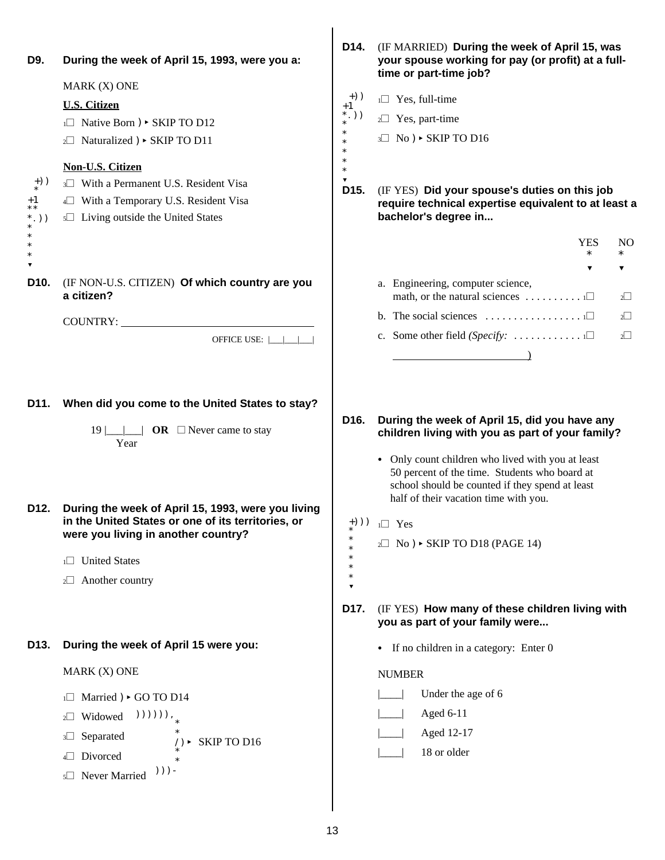| <b>U.S. Citizen</b><br>$\Box$ Native Born ) $\triangleright$ SKIP TO D12<br>$_2\Box$ Naturalized ) $\triangleright$ SKIP TO D11                  | $+)$ )                                                                                                                                                                                      |                                                                                                                                                                                                                                                            |
|--------------------------------------------------------------------------------------------------------------------------------------------------|---------------------------------------------------------------------------------------------------------------------------------------------------------------------------------------------|------------------------------------------------------------------------------------------------------------------------------------------------------------------------------------------------------------------------------------------------------------|
|                                                                                                                                                  | $+1$                                                                                                                                                                                        | $1 \square$ Yes, full-time                                                                                                                                                                                                                                 |
|                                                                                                                                                  | $*,))$<br>$\ast$<br>$\ast$                                                                                                                                                                  | 2 <sup>2</sup> Yes, part-time                                                                                                                                                                                                                              |
|                                                                                                                                                  | $\ast$<br>$\ast$                                                                                                                                                                            | $3\Box$ No ) $\triangleright$ SKIP TO D16                                                                                                                                                                                                                  |
| <b>Non-U.S. Citizen</b><br>3 With a Permanent U.S. Resident Visa<br>4 With a Temporary U.S. Resident Visa<br>s□ Living outside the United States | $\ast$<br>$\ast$<br>D <sub>15</sub> .                                                                                                                                                       | (IF YES) Did your spouse's duties on this job<br>require technical expertise equivalent to at least a<br>bachelor's degree in                                                                                                                              |
|                                                                                                                                                  |                                                                                                                                                                                             | <b>YES</b><br>NO.                                                                                                                                                                                                                                          |
|                                                                                                                                                  |                                                                                                                                                                                             | $\ast$<br>$\ast$<br>▼                                                                                                                                                                                                                                      |
| (IF NON-U.S. CITIZEN) Of which country are you<br>a citizen?                                                                                     |                                                                                                                                                                                             | a. Engineering, computer science,<br>math, or the natural sciences $\dots \dots \dots \dots \dots$<br>$2\Box$                                                                                                                                              |
|                                                                                                                                                  |                                                                                                                                                                                             | b. The social sciences $\dots \dots \dots \dots \dots \dots \dots \dots$<br>$2^{\square}$                                                                                                                                                                  |
| OFFICE USE:                                                                                                                                      |                                                                                                                                                                                             | c. Some other field (Specify: $\dots$<br>$2^{\square}$                                                                                                                                                                                                     |
|                                                                                                                                                  |                                                                                                                                                                                             |                                                                                                                                                                                                                                                            |
| When did you come to the United States to stay?<br><b>OR</b> $\Box$ Never came to stay<br>$19$    <br>Year                                       | D <sub>16</sub> .                                                                                                                                                                           | During the week of April 15, did you have any<br>children living with you as part of your family?<br>• Only count children who lived with you at least<br>50 percent of the time. Students who board at<br>school should be counted if they spend at least |
| During the week of April 15, 1993, were you living                                                                                               |                                                                                                                                                                                             | half of their vacation time with you.                                                                                                                                                                                                                      |
| were you living in another country?                                                                                                              |                                                                                                                                                                                             | $1 \square$ Yes                                                                                                                                                                                                                                            |
|                                                                                                                                                  |                                                                                                                                                                                             | $2 \square$ No ) $\triangleright$ SKIP TO D18 (PAGE 14)                                                                                                                                                                                                    |
|                                                                                                                                                  |                                                                                                                                                                                             |                                                                                                                                                                                                                                                            |
|                                                                                                                                                  | D17.                                                                                                                                                                                        | (IF YES) How many of these children living with<br>you as part of your family were                                                                                                                                                                         |
| During the week of April 15 were you:                                                                                                            |                                                                                                                                                                                             | • If no children in a category: Enter 0                                                                                                                                                                                                                    |
| MARK (X) ONE                                                                                                                                     |                                                                                                                                                                                             | <b>NUMBER</b>                                                                                                                                                                                                                                              |
| i□ Married ) > GO TO D14                                                                                                                         |                                                                                                                                                                                             | Under the age of 6                                                                                                                                                                                                                                         |
| $))))))$ ,<br>Widowed<br>$2\Box$                                                                                                                 |                                                                                                                                                                                             | Aged 6-11                                                                                                                                                                                                                                                  |
| Separated<br>$3\Box$                                                                                                                             |                                                                                                                                                                                             | Aged 12-17                                                                                                                                                                                                                                                 |
| Divorced<br>4                                                                                                                                    |                                                                                                                                                                                             | 18 or older                                                                                                                                                                                                                                                |
|                                                                                                                                                  | COUNTRY:<br>in the United States or one of its territories, or<br>1 <sup>1</sup> United States<br>2 <sup>2</sup> Another country<br>SKIP TO D16<br>$))$ ) -<br>5 <sup>1</sup> Never Married | $+))$ )                                                                                                                                                                                                                                                    |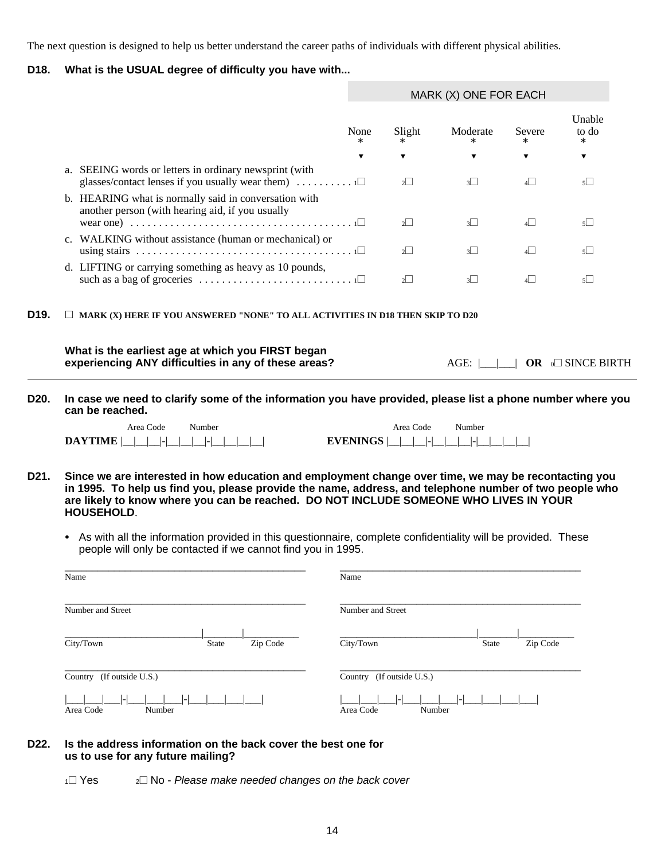The next question is designed to help us better understand the career paths of individuals with different physical abilities.

### **D18. What is the USUAL degree of difficulty you have with...**

|                   |                                                                                                                                                                                                                                                                                                                              | MARK (X) ONE FOR EACH |                              |                    |                  |                           |
|-------------------|------------------------------------------------------------------------------------------------------------------------------------------------------------------------------------------------------------------------------------------------------------------------------------------------------------------------------|-----------------------|------------------------------|--------------------|------------------|---------------------------|
|                   |                                                                                                                                                                                                                                                                                                                              | None<br>$\ast$        | Slight<br>$\ast$             | Moderate<br>$\ast$ | Severe<br>$\ast$ | Unable<br>to do<br>$\ast$ |
|                   |                                                                                                                                                                                                                                                                                                                              | ▼                     | ▼                            | ▼                  | ▼                | ▼                         |
|                   | a. SEEING words or letters in ordinary newsprint (with<br>glasses/contact lenses if you usually wear them) $\dots \dots \dots \dots$                                                                                                                                                                                         |                       | $2^{\square}$                | 3 <sup>1</sup>     | 4                | $5\Box$                   |
|                   | b. HEARING what is normally said in conversation with<br>another person (with hearing aid, if you usually                                                                                                                                                                                                                    |                       | $2\Box$                      | $3\Box$            | $4\Box$          | $5\Box$                   |
|                   | c. WALKING without assistance (human or mechanical) or                                                                                                                                                                                                                                                                       |                       | $2\vert$                     | 3                  | 4                | $5\Box$                   |
|                   | d. LIFTING or carrying something as heavy as 10 pounds,<br>such as a bag of groceries $\dots \dots \dots \dots \dots \dots \dots \dots \dots \dots \dots$                                                                                                                                                                    |                       | $2^{\square}$                | 3 <sup>1</sup>     | 4                | $5\Box$                   |
| D <sub>19</sub> . | $\Box$ MARK (X) HERE IF YOU ANSWERED "NONE" TO ALL ACTIVITIES IN D18 THEN SKIP TO D20                                                                                                                                                                                                                                        |                       |                              |                    |                  |                           |
|                   | What is the earliest age at which you FIRST began<br>experiencing ANY difficulties in any of these areas?                                                                                                                                                                                                                    |                       |                              | AGE:               |                  | OR <b>ION SINCE BIRTH</b> |
| D20.              | In case we need to clarify some of the information you have provided, please list a phone number where you<br>can be reached.                                                                                                                                                                                                |                       |                              |                    |                  |                           |
|                   | Area Code<br>Number<br><b>DAYTIME</b><br>$-1-1$                                                                                                                                                                                                                                                                              | <b>EVENINGS</b>       | Area Code<br>$\vert - \vert$ | Number             |                  |                           |
| D21.              | Since we are interested in how education and employment change over time, we may be recontacting you<br>in 1995. To help us find you, please provide the name, address, and telephone number of two people who<br>are likely to know where you can be reached. DO NOT INCLUDE SOMEONE WHO LIVES IN YOUR<br><b>HOUSEHOLD.</b> |                       |                              |                    |                  |                           |
|                   | As with all the information provided in this questionnaire, complete confidentiality will be provided. These<br>people will only be contacted if we cannot find you in 1995.                                                                                                                                                 |                       |                              |                    |                  |                           |
|                   | Name                                                                                                                                                                                                                                                                                                                         | Name                  |                              |                    |                  |                           |
|                   | Number and Street                                                                                                                                                                                                                                                                                                            | Number and Street     |                              |                    |                  |                           |
|                   | City/Town<br>Zip Code<br>State                                                                                                                                                                                                                                                                                               | City/Town             |                              | State              | Zip Code         |                           |
|                   | Country (If outside U.S.)                                                                                                                                                                                                                                                                                                    |                       | Country (If outside U.S.)    |                    |                  |                           |
|                   | Area Code<br>Number                                                                                                                                                                                                                                                                                                          | Area Code             |                              | Number             |                  |                           |
| D22.              | Is the address information on the back cover the best one for                                                                                                                                                                                                                                                                |                       |                              |                    |                  |                           |

## **us to use for any future mailing?**

1<sup> $\Box$ </sup> Yes 2 $\Box$  No - *Please make needed changes on the back cover*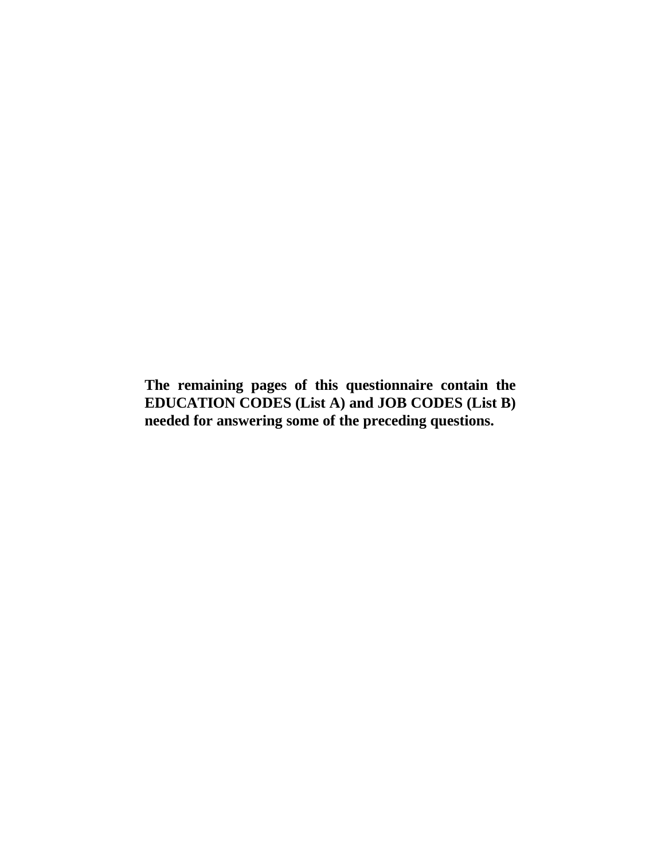**The remaining pages of this questionnaire contain the EDUCATION CODES (List A) and JOB CODES (List B) needed for answering some of the preceding questions.**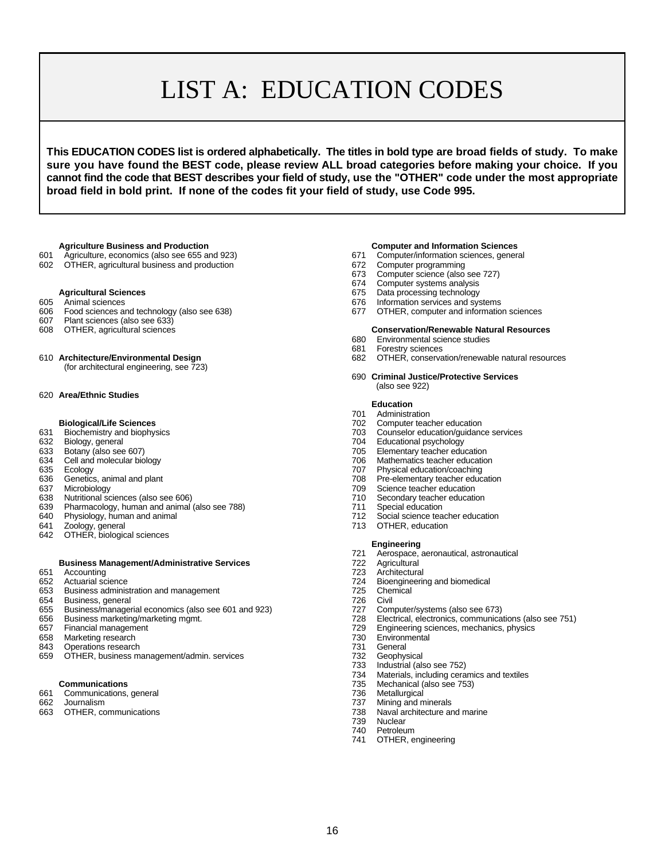# LIST A: EDUCATION CODES

**This EDUCATION CODES list is ordered alphabetically. The titles in bold type are broad fields of study. To make sure you have found the BEST code, please review ALL broad categories before making your choice. If you cannot find the code that BEST describes your field of study, use the "OTHER" code under the most appropriate broad field in bold print. If none of the codes fit your field of study, use Code 995.**

- 
- 601 Agriculture, economics (also see 655 and 923) 671 Computer/information sciences, 672 Computer/information sciences, 672 Computer programming 602 OTHER, agricultural business and production 672 Computer programming the form of  $672$

- 
- 606 Food sciences and technology (also see 638) 677 OTHER, computer and information sciences<br>607 Plant sciences (also see 633)
- 607 Plant sciences (also see 633)
- 
- - (for architectural engineering, see 723)

#### 620 **Area/Ethnic Studies**

- 
- 
- 
- 
- 
- 
- 
- 638 Nutritional sciences (also see 606)<br>639 Pharmacology, human and animal (also see 788) 711 Special education
- 639 Pharmacology, human and animal (also see 788) *711 711* Special education<br>640 Physiology, human and animal structure of 788) *712 712 Social science teacher education*
- Physiology, human and animal 712<br>
712 Sociology, human and animal science teacher education of the 713
- 
- 641 Zoology, general and step and step and step and step and step and step and step and step and step and step and step and step and step and step and step and step and step and step and step and step and step and step and OTHER, biological sciences

# **Business Management/Administrative Services** 722 Agricultural<br>Accounting 723 Architectura

- 651 Accounting 723 Architectural
- 
- Business administration and management
- 654 Business, general 726 Civil
- 655 Business/managerial economics (also see 601 and 923) 727 Computer/systems (also see 673)
- 
- 
- Marketing research
- 
- 843 Operations research 731 General<br>T31 General 659 OTHER, business management/admin. services 752 Geophysical OTHER, business management/admin. services 732<br>733 T

- 661 Communications, general 736 Metallurgical
- 
- 663 OTHER, communications 738 Naval architecture and marine

- 
- 
- 673 Computer science (also see 727)
- 674 Computer systems analysis
- **Agricultural Sciences 675** Data processing technology
- 605 Animal sciences 676 Information services and systems
	-

## **Conservation/Renewable Natural Resources**<br>680 Environmental science studies

- Environmental science studies
- 681 Forestry sciences
- 610 **Architecture/Environmental Design** 682 OTHER, conservation/renewable natural resources
	- 690 **Criminal Justice/Protective Services** (also see 922)

#### **Education**

- 701 Administration
- **Biological/Life Sciences** 702 Computer teacher education
- 631 Biochemistry and biophysics and the matter of the matter of the matter of the matter 703 Counselor education/guidance services 632 Biology, general and the matter of the matter of the matter of the matter of the matter
	-
- 632 Biology, general 1996 Control 1999 Control 1999 Control 1999 Control 2004 Educational psychology<br>633 Botany (also see 607) Control 1999 Control 1999 Control 1999 Control 1999 Control 1999 Control 1999 Control 199 633 Botany (also see 607) 705 Elementary teacher education
	-
- 634 Cell and molecular biology **706** Mathematics teacher education<br>635 Ecology 707 Physical education/coaching
- 635 Ecology **Ecology** 707 Physical education/coaching<br>636 Genetics, animal and plant **1990 Community 1990 Control** 708 Pre-elementary teacher educ
- 708 Pre-elementary teacher education<br>709 Science teacher education 637 Microbiology 709 Science teacher education
	-
	-
	-
	-

#### **Engineering**

- 721 Aerospace, aeronautical, astronautical
- 
- 
- 652 Actuarial science<br>653 Business administration and management<br>653 Business administration and management<br>653 Business administration and management
	-
	-
	-
	-
- 656 Business marketing/marketing mgmt. 728 Electrical, electronics, communications (also see 751) 657 Financial management The Term of Term of Table 129 Engineering sciences, mechanics, physics<br>658 Marketing research T30 Environmental
	-
	-
	-
	- 733 Industrial (also see 752)
	- 734 Materials, including ceramics and textiles
	-
	- **Communications**<br> **Communications**<br> **Communications**, general<br> **Communications**, general
		-
- 662 Journalism 737 Mining and minerals
	- Nuclear
	-
	- 740 Petroleum<br>741 OTHER e OTHER, engineering

## **Agriculture Business and Production Computer and Information Sciences**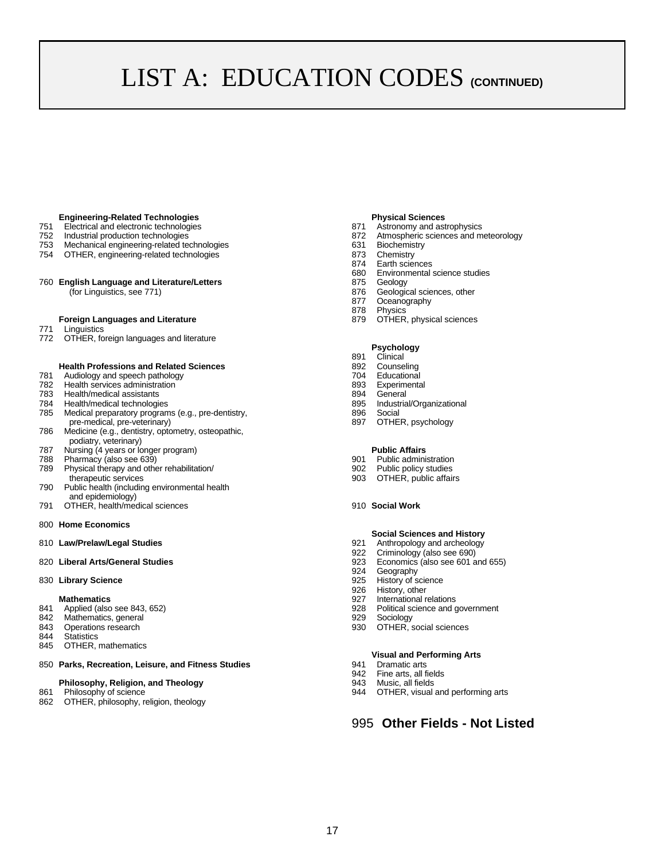# LIST A: EDUCATION CODES (CONTINUED)

#### **Engineering-Related Technologies**

- 751 Electrical and electronic technologies<br>752 Industrial production technologies 872 Atmospheric sciences and m
- 
- 753 Mechanical engineering-related technologies 631 Biochemistry
- 754 OTHER, engineering-related technologies 873 Chemistry<br>874 Earth science
- 760 **English Language and Literature/Letters** 875 Geology

#### **Foreign Languages and Literature 879 OTHER, physical sciences**

- 771 Linguistics<br>772 OTHER fo
- OTHER, foreign languages and literature

# **Health Professions and Related Sciences**<br>Audiology and speech pathology<br>
704 Educational

- Frank and Solution and Speech pathology<br>
782 Bealth services administration<br>
782 Bealth services administration<br>
782 Bealth services administration
- 782 Health services administration 893 Experimental
- 783 Health/medical assistants and the state of the state of the state of the SSA General Preach of the Health/medical technologies and the state of the SSA General Conganizational and the Health/medical technologies and th
- 
- 784 Health/medical technologies 895 Industrial technologies 895 Industrial<br>785 Medical preparatory programs (e.g., pre-dentistry, 1988 896 Social Medical preparatory programs (e.g., pre-dentistry, and the state of the Social pre-medical, pre-veterinary) and pre-medical, pre-veterinary) pre-medical, pre-veterinary)
- 786 Medicine (e.g., dentistry, optometry, osteopathic, podiatry, veterinary)
- 787 Nursing (4 years or longer program) **Public Affairs**
- 
- 788 Pharmacy (also see 639)<br>1901 Public administration<br>1902 Public policy studies 789 Physical therapy and other rehabilitation/ 902 therapeutic services 903
- 790 Public health (including environmental health and epidemiology)
- 791 OTHER, health/medical sciences 910 **Social Work**
- 800 **Home Economics**
- 810 Law/Prelaw/Legal Studies **6. Exercía de la contract entrarror de la contract en la contract en la contract en la contract en la contract en la contract en la contract en la contract en la contract en la contract en la**

830 **Library Science 1988 Library Science 1988 Properties 1988 Properties 925 History of science 926 History, other** 

- **Mathematics**<br> **Mathematics**<br> **Applied (also see 843, 652)**<br> **Applied (also see 843, 652)**<br> **Applied (also see 843, 652)**
- 842 Mathematics, general example of the state of the state of the state of the state of the state of the state of the state of the state of the state of the state of the state of the state of the state of the state of the
- 
- 844 Statistics
- 845 OTHER, mathematics
- 850 **Parks, Recreation, Leisure, and Fitness Studies** 941 Dramatic arts

#### **Philosophy, Religion, and Theology example 20 and 20 and 20 and 20 and 20 and 30 and 30 and 30 and 30 and 30 and 30 and 30 and 30 and 30 and 30 and 30 and 30 and 30 and 30 and 30 and 30 and 30 and 30 and 30 and 30 and 30**

- 
- 862 OTHER, philosophy, religion, theology

#### **Physical Sciences**

- 
- 752 Industrial production technologies 872 Atmospheric sciences and meteorology
	-
	-
	-
	- 874 Earth sciences<br>680 Environmental Environmental science studies
	-
	- 876 Geological sciences, other<br>877 Oceanography
	- 877 Oceanography<br>878 Physics
	- **Physics**
	-

#### **Psychology**

- 891 Clinical
- 
- 
- 
- 
- 
- 
- 

- 
- 
- OTHER, public affairs

#### **Social Sciences and History**

- 
- 922 Criminology (also see 690)
- 820 **Liberal Arts/General Studies** 923 Economics (also see 601 and 655)
	- Geography
	-
	- History, other
	-
- 841 Applied (also see 843, 652) <br>842 Mathematics. general 928 Political science and government
	- OTHER, social sciences
	-

#### **Visual and Performing Arts**

- 
- Fine arts, all fields
- 
- 861 Philosophy of science **1944** OTHER, visual and performing arts

### 995 **Other Fields - Not Listed**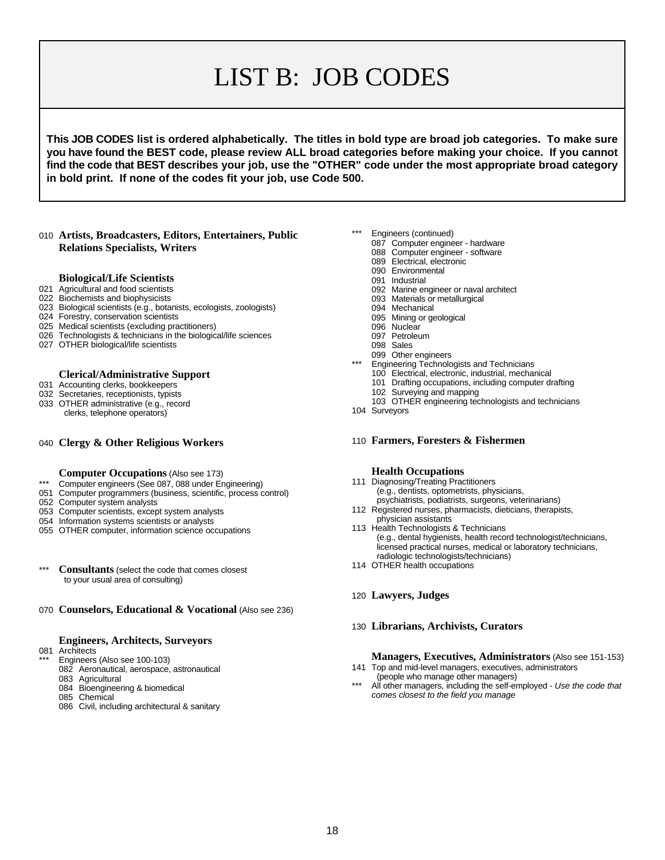# LIST B: JOB CODES

**This JOB CODES list is ordered alphabetically. The titles in bold type are broad job categories. To make sure you have found the BEST code, please review ALL broad categories before making your choice. If you cannot find the code that BEST describes your job, use the "OTHER" code under the most appropriate broad category in bold print. If none of the codes fit your job, use Code 500.**

#### **Artists, Broadcasters, Editors, Entertainers, Public Relations Specialists, Writers**

#### **Biological/Life Scientists**

- Agricultural and food scientists
- Biochemists and biophysicists
- Biological scientists (e.g., botanists, ecologists, zoologists)
- Forestry, conservation scientists
- Medical scientists (excluding practitioners)
- Technologists & technicians in the biological/life sciences
- OTHER biological/life scientists

#### **Clerical/Administrative Support**

- Accounting clerks, bookkeepers
- Secretaries, receptionists, typists
- OTHER administrative (e.g., record clerks, telephone operators)

#### **Clergy & Other Religious Workers**

- **Computer Occupations** (Also see 173)
- \*\*\* Computer engineers (See 087, 088 under Engineering)
- Computer programmers (business, scientific, process control)
- Computer system analysts
- Computer scientists, except system analysts
- Information systems scientists or analysts
- OTHER computer, information science occupations
- \*\*\* **Consultants** (select the code that comes closest to your usual area of consulting)
- **Counselors, Educational & Vocational** (Also see 236)

#### **Engineers, Architects, Surveyors**

- Architects
	- Engineers (Also see 100-103)
	- Aeronautical, aerospace, astronautical
	- Agricultural
	- Bioengineering & biomedical Chemical
	-
	- Civil, including architectural & sanitary
- Engineers (continued)
	- Computer engineer hardware
		- Computer engineer software
		- Electrical, electronic
		- Environmental
		- Industrial
		- Marine engineer or naval architect
		- Materials or metallurgical
		- Mechanical
		- Mining or geological
		- 096 Nuclear
		- Petroleum
		- Sales
		- Other engineers
		- Engineering Technologists and Technicians
		- Electrical, electronic, industrial, mechanical
		- Drafting occupations, including computer drafting
		- Surveying and mapping
	- OTHER engineering technologists and technicians
- Surveyors
- **Farmers, Foresters & Fishermen**

#### **Health Occupations**

- Diagnosing/Treating Practitioners (e.g., dentists, optometrists, physicians, psychiatrists, podiatrists, surgeons, veterinarians)
- Registered nurses, pharmacists, dieticians, therapists, physician assistants
- Health Technologists & Technicians (e.g., dental hygienists, health record technologist/technicians, licensed practical nurses, medical or laboratory technicians, radiologic technologists/technicians)
- OTHER health occupations
- **Lawyers, Judges**
- **Librarians, Archivists, Curators**

#### **Managers, Executives, Administrators** (Also see 151-153)

- Top and mid-level managers, executives, administrators (people who manage other managers)
- All other managers, including the self-employed Use the code that *comes closest to the field you manage*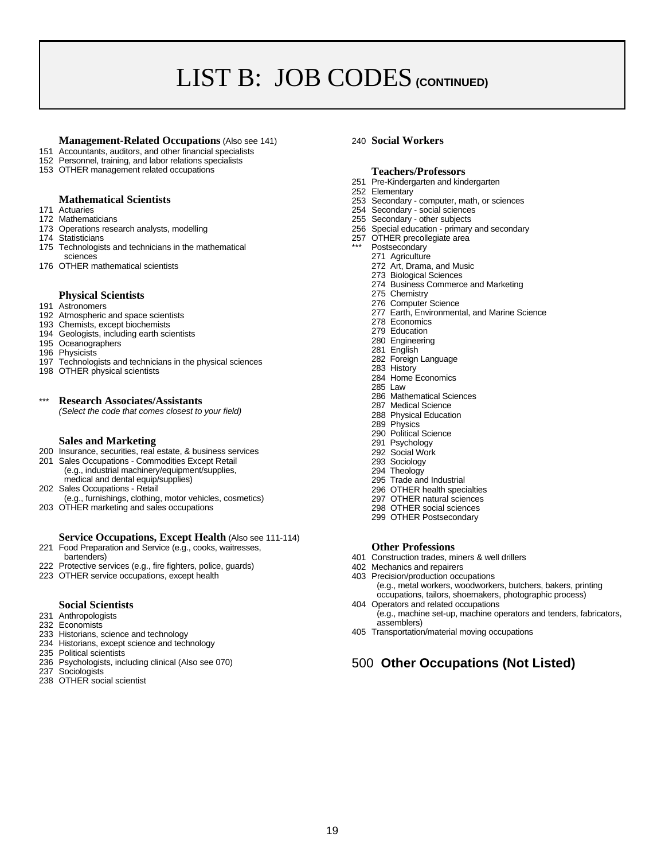# LIST B: JOB CODES **(CONTINUED)**

#### **Management-Related Occupations** (Also see 141) 240 **Social Workers**

- 151 Accountants, auditors, and other financial specialists
- 152 Personnel, training, and labor relations specialists
- 153 OTHER management related occupations

## **Mathematical Scientists**<br>171 Actuaries

- 
- 
- 
- 
- 175 Technologists and technicians in the mathematical
- sciences 271 Agriculture

#### **Physical Scientists**

- 191 Astronomers
- 192 Atmospheric and space scientists
- 193 Chemists, except biochemists
- 194 Geologists, including earth scientists
- 195 Oceanographers
- 196 Physicists
- 197 Technologists and technicians in the physical sciences
- 198 OTHER physical scientists

## \*\*\* **Research Associates/Assistants**

*(Select the code that comes closest to your field)*

#### **Sales and Marketing**

- 200 Insurance, securities, real estate, & business services
- 201 Sales Occupations Commodities Except Retail (e.g., industrial machinery/equipment/supplies, medical and dental equip/supplies)
- 202 Sales Occupations Retail (e.g., furnishings, clothing, motor vehicles, cosmetics)
- 203 OTHER marketing and sales occupations

#### **Service Occupations, Except Health** (Also see 111-114)

- 221 Food Preparation and Service (e.g., cooks, waitresses,
- bartenders)
- 222 Protective services (e.g., fire fighters, police, guards) 223 OTHER service occupations, except health

## **Social Scientists**

- 
- 231 Anthropologists 232 Economists
- 
- 233 Historians, science and technology
- 234 Historians, except science and technology
- 235 Political scientists
- 236 Psychologists, including clinical (Also see 070) 237 Sociologists
- 
- 238 OTHER social scientist

#### **Teachers/Professors**

- 251 Pre-Kindergarten and kindergarten
- 252 Elementary
- 253 Secondary computer, math, or sciences
- 171 Actuaries<br>254 Secondary social sciences<br>255 Secondary social sciences<br>255 Secondary other subjects
	- 255 Secondary other subjects
- 173 Operations research analysts, modelling and the control and secondary 256 Special education primary and secondary<br>174 Statisticians 174 Statisticians
	- 257 OTHER precollegiate area
		-
		-
- 176 OTHER mathematical scientists 272 Art, Drama, and Music
	- 273 Biological Sciences 274 Business Commerce and Marketing
	- 275 Chemistry
	- 276 Computer Science
	- 277 Earth, Environmental, and Marine Science
	- 278 Economics
	- 279 Education
	- 280 Engineering
	- 281 English
	- 282 Foreign Language
	- 283 History
	- 284 Home Economics
	- 285 Law 286 Mathematical Sciences
	- 287 Medical Science
	- 288 Physical Education
	- 289 Physics
	- 290 Political Science
	- 291 Psychology
	- 292 Social Work
	- 293 Sociology
	- 294 Theology
	- 295 Trade and Industrial
	- 296 OTHER health specialties
	- 297 OTHER natural sciences
	- 298 OTHER social sciences
	- 299 OTHER Postsecondary

#### **Other Professions**

- 401 Construction trades, miners & well drillers
- 402 Mechanics and repairers
- 403 Precision/production occupations
- (e.g., metal workers, woodworkers, butchers, bakers, printing occupations, tailors, shoemakers, photographic process) 404 Operators and related occupations
- (e.g., machine set-up, machine operators and tenders, fabricators, assemblers)
- 405 Transportation/material moving occupations

## 500 **Other Occupations (Not Listed)**